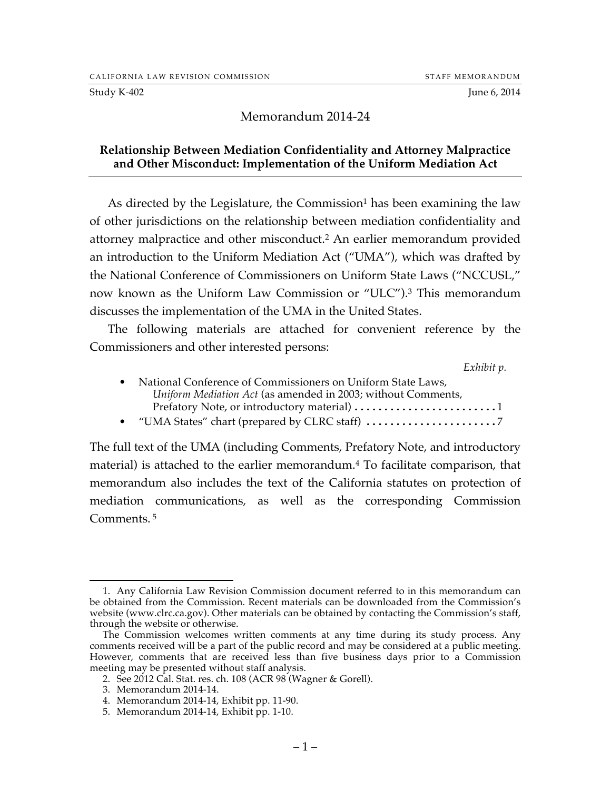#### Study K-402 June 6, 2014

# Memorandum 2014-24

### **Relationship Between Mediation Confidentiality and Attorney Malpractice and Other Misconduct: Implementation of the Uniform Mediation Act**

As directed by the Legislature, the Commission<sup>1</sup> has been examining the law of other jurisdictions on the relationship between mediation confidentiality and attorney malpractice and other misconduct.2 An earlier memorandum provided an introduction to the Uniform Mediation Act ("UMA"), which was drafted by the National Conference of Commissioners on Uniform State Laws ("NCCUSL," now known as the Uniform Law Commission or "ULC").3 This memorandum discusses the implementation of the UMA in the United States.

The following materials are attached for convenient reference by the Commissioners and other interested persons:

*Exhibit p.*

| • National Conference of Commissioners on Uniform State Laws, |
|---------------------------------------------------------------|
| Uniform Mediation Act (as amended in 2003; without Comments.  |
| Prefatory Note, or introductory material) 1                   |
|                                                               |

The full text of the UMA (including Comments, Prefatory Note, and introductory material) is attached to the earlier memorandum. <sup>4</sup> To facilitate comparison, that memorandum also includes the text of the California statutes on protection of mediation communications, as well as the corresponding Commission Comments.<sup>5</sup>

 <sup>1.</sup> Any California Law Revision Commission document referred to in this memorandum can be obtained from the Commission. Recent materials can be downloaded from the Commission's website (www.clrc.ca.gov). Other materials can be obtained by contacting the Commission's staff, through the website or otherwise.

The Commission welcomes written comments at any time during its study process. Any comments received will be a part of the public record and may be considered at a public meeting. However, comments that are received less than five business days prior to a Commission meeting may be presented without staff analysis.

<sup>2.</sup> See 2012 Cal. Stat. res. ch. 108 (ACR 98 (Wagner & Gorell).

<sup>3.</sup> Memorandum 2014-14.

<sup>4.</sup> Memorandum 2014-14, Exhibit pp. 11-90.

<sup>5.</sup> Memorandum 2014-14, Exhibit pp. 1-10.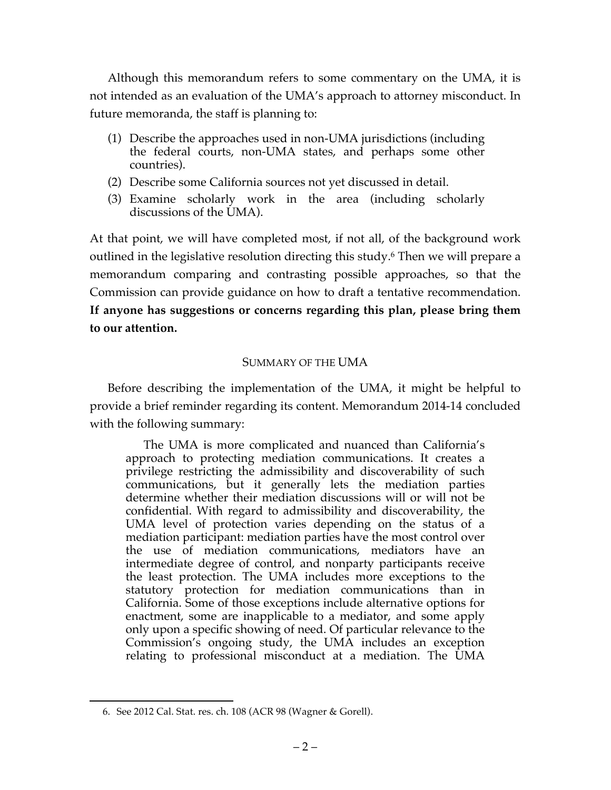Although this memorandum refers to some commentary on the UMA, it is not intended as an evaluation of the UMA's approach to attorney misconduct. In future memoranda, the staff is planning to:

- (1) Describe the approaches used in non-UMA jurisdictions (including the federal courts, non-UMA states, and perhaps some other countries).
- (2) Describe some California sources not yet discussed in detail.
- (3) Examine scholarly work in the area (including scholarly discussions of the UMA).

At that point, we will have completed most, if not all, of the background work outlined in the legislative resolution directing this study.6 Then we will prepare a memorandum comparing and contrasting possible approaches, so that the Commission can provide guidance on how to draft a tentative recommendation. **If anyone has suggestions or concerns regarding this plan, please bring them to our attention.**

# SUMMARY OF THE UMA

Before describing the implementation of the UMA, it might be helpful to provide a brief reminder regarding its content. Memorandum 2014-14 concluded with the following summary:

The UMA is more complicated and nuanced than California's approach to protecting mediation communications. It creates a privilege restricting the admissibility and discoverability of such communications, but it generally lets the mediation parties determine whether their mediation discussions will or will not be confidential. With regard to admissibility and discoverability, the UMA level of protection varies depending on the status of a mediation participant: mediation parties have the most control over the use of mediation communications, mediators have an intermediate degree of control, and nonparty participants receive the least protection. The UMA includes more exceptions to the statutory protection for mediation communications than in California. Some of those exceptions include alternative options for enactment, some are inapplicable to a mediator, and some apply only upon a specific showing of need. Of particular relevance to the Commission's ongoing study, the UMA includes an exception relating to professional misconduct at a mediation. The UMA

 <sup>6.</sup> See 2012 Cal. Stat. res. ch. 108 (ACR 98 (Wagner & Gorell).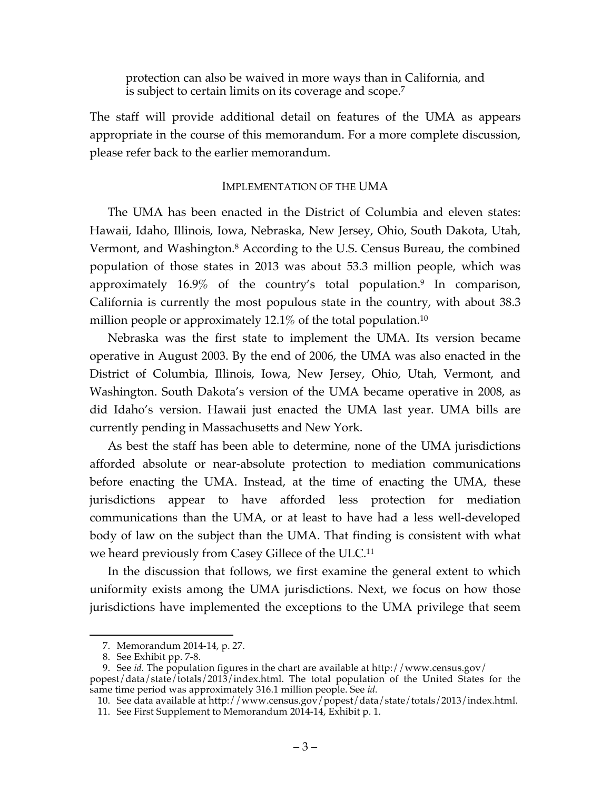protection can also be waived in more ways than in California, and is subject to certain limits on its coverage and scope.7

The staff will provide additional detail on features of the UMA as appears appropriate in the course of this memorandum. For a more complete discussion, please refer back to the earlier memorandum.

### IMPLEMENTATION OF THE UMA

The UMA has been enacted in the District of Columbia and eleven states: Hawaii, Idaho, Illinois, Iowa, Nebraska, New Jersey, Ohio, South Dakota, Utah, Vermont, and Washington.8 According to the U.S. Census Bureau, the combined population of those states in 2013 was about 53.3 million people, which was approximately 16.9% of the country's total population. <sup>9</sup> In comparison, California is currently the most populous state in the country, with about 38.3 million people or approximately 12.1% of the total population.<sup>10</sup>

Nebraska was the first state to implement the UMA. Its version became operative in August 2003. By the end of 2006, the UMA was also enacted in the District of Columbia, Illinois, Iowa, New Jersey, Ohio, Utah, Vermont, and Washington. South Dakota's version of the UMA became operative in 2008, as did Idaho's version. Hawaii just enacted the UMA last year. UMA bills are currently pending in Massachusetts and New York.

As best the staff has been able to determine, none of the UMA jurisdictions afforded absolute or near-absolute protection to mediation communications before enacting the UMA. Instead, at the time of enacting the UMA, these jurisdictions appear to have afforded less protection for mediation communications than the UMA, or at least to have had a less well-developed body of law on the subject than the UMA. That finding is consistent with what we heard previously from Casey Gillece of the ULC.<sup>11</sup>

In the discussion that follows, we first examine the general extent to which uniformity exists among the UMA jurisdictions. Next, we focus on how those jurisdictions have implemented the exceptions to the UMA privilege that seem

 <sup>7.</sup> Memorandum 2014-14, p. 27.

<sup>8.</sup> See Exhibit pp. 7-8.

<sup>9.</sup> See *id.* The population figures in the chart are available at http://www.census.gov/ popest/data/state/totals/2013/index.html. The total population of the United States for the same time period was approximately 316.1 million people. See *id.*

<sup>10.</sup> See data available at http://www.census.gov/popest/data/state/totals/2013/index.html.

<sup>11.</sup> See First Supplement to Memorandum 2014-14, Exhibit p. 1.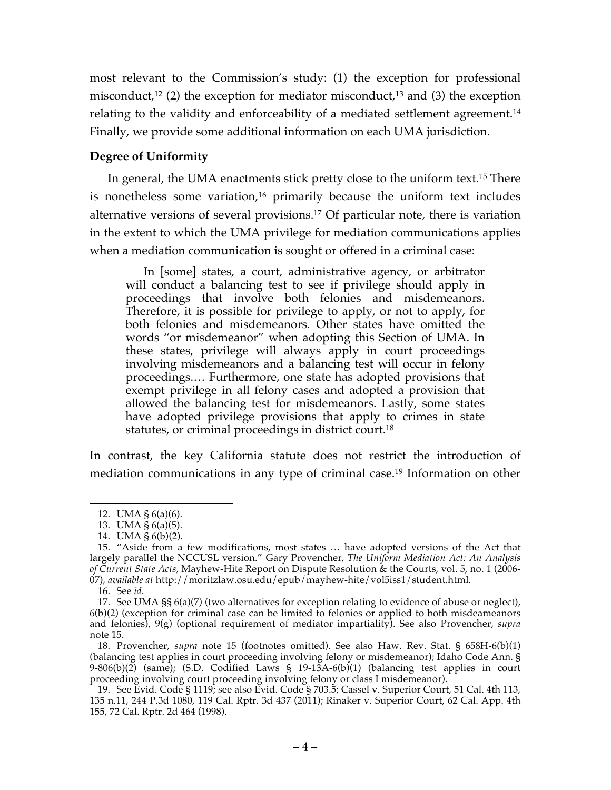most relevant to the Commission's study: (1) the exception for professional misconduct,<sup>12</sup> (2) the exception for mediator misconduct,<sup>13</sup> and (3) the exception relating to the validity and enforceability of a mediated settlement agreement.<sup>14</sup> Finally, we provide some additional information on each UMA jurisdiction.

# **Degree of Uniformity**

In general, the UMA enactments stick pretty close to the uniform text.15 There is nonetheless some variation,<sup>16</sup> primarily because the uniform text includes alternative versions of several provisions.17 Of particular note, there is variation in the extent to which the UMA privilege for mediation communications applies when a mediation communication is sought or offered in a criminal case:

In [some] states, a court, administrative agency, or arbitrator will conduct a balancing test to see if privilege should apply in proceedings that involve both felonies and misdemeanors. Therefore, it is possible for privilege to apply, or not to apply, for both felonies and misdemeanors. Other states have omitted the words "or misdemeanor" when adopting this Section of UMA. In these states, privilege will always apply in court proceedings involving misdemeanors and a balancing test will occur in felony proceedings.… Furthermore, one state has adopted provisions that exempt privilege in all felony cases and adopted a provision that allowed the balancing test for misdemeanors. Lastly, some states have adopted privilege provisions that apply to crimes in state statutes, or criminal proceedings in district court.<sup>18</sup>

In contrast, the key California statute does not restrict the introduction of mediation communications in any type of criminal case.19 Information on other

 <sup>12.</sup> UMA § 6(a)(6).

<sup>13.</sup> UMA § 6(a)(5).

<sup>14.</sup> UMA § 6(b)(2).

<sup>15.</sup> "Aside from a few modifications, most states … have adopted versions of the Act that largely parallel the NCCUSL version." Gary Provencher, *The Uniform Mediation Act: An Analysis of Current State Acts,* Mayhew-Hite Report on Dispute Resolution & the Courts, vol. 5, no. 1 (2006- 07), *available at* http://moritzlaw.osu.edu/epub/mayhew-hite/vol5iss1/student.html*.*

<sup>16.</sup> See *id.*

<sup>17.</sup> See UMA §§ 6(a)(7) (two alternatives for exception relating to evidence of abuse or neglect), 6(b)(2) (exception for criminal case can be limited to felonies or applied to both misdeameanors and felonies), 9(g) (optional requirement of mediator impartiality). See also Provencher, *supra* note 15.

<sup>18.</sup> Provencher, *supra* note 15 (footnotes omitted). See also Haw. Rev. Stat. § 658H-6(b)(1) (balancing test applies in court proceeding involving felony or misdemeanor); Idaho Code Ann. § 9-806(b)(2) (same); (S.D. Codified Laws § 19-13A-6(b)(1) (balancing test applies in court proceeding involving court proceeding involving felony or class I misdemeanor).

<sup>19.</sup> See Evid. Code § 1119; see also Evid. Code § 703.5; Cassel v. Superior Court, 51 Cal. 4th 113, 135 n.11, 244 P.3d 1080, 119 Cal. Rptr. 3d 437 (2011); Rinaker v. Superior Court, 62 Cal. App. 4th 155, 72 Cal. Rptr. 2d 464 (1998).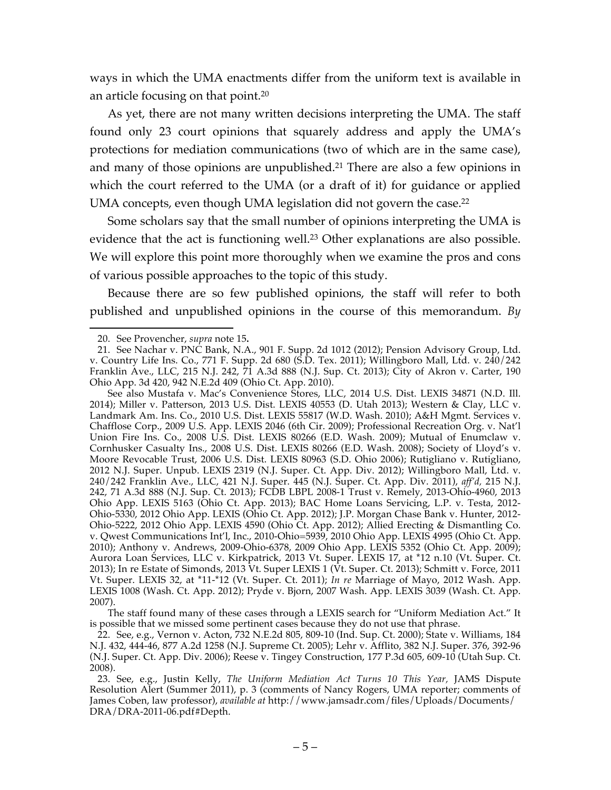ways in which the UMA enactments differ from the uniform text is available in an article focusing on that point.20

As yet, there are not many written decisions interpreting the UMA. The staff found only 23 court opinions that squarely address and apply the UMA's protections for mediation communications (two of which are in the same case), and many of those opinions are unpublished.21 There are also a few opinions in which the court referred to the UMA (or a draft of it) for guidance or applied UMA concepts, even though UMA legislation did not govern the case.<sup>22</sup>

Some scholars say that the small number of opinions interpreting the UMA is evidence that the act is functioning well.<sup>23</sup> Other explanations are also possible. We will explore this point more thoroughly when we examine the pros and cons of various possible approaches to the topic of this study.

Because there are so few published opinions, the staff will refer to both published and unpublished opinions in the course of this memorandum. *By*

See also Mustafa v. Mac's Convenience Stores, LLC, 2014 U.S. Dist. LEXIS 34871 (N.D. Ill. 2014); Miller v. Patterson, 2013 U.S. Dist. LEXIS 40553 (D. Utah 2013); Western & Clay, LLC v. Landmark Am. Ins. Co., 2010 U.S. Dist. LEXIS 55817 (W.D. Wash. 2010); A&H Mgmt. Services v. Chafflose Corp., 2009 U.S. App. LEXIS 2046 (6th Cir. 2009); Professional Recreation Org. v. Nat'l Union Fire Ins. Co., 2008 U.S. Dist. LEXIS 80266 (E.D. Wash. 2009); Mutual of Enumclaw v. Cornhusker Casualty Ins., 2008 U.S. Dist. LEXIS 80266 (E.D. Wash. 2008); Society of Lloyd's v. Moore Revocable Trust, 2006 U.S. Dist. LEXIS 80963 (S.D. Ohio 2006); Rutigliano v. Rutigliano, 2012 N.J. Super. Unpub. LEXIS 2319 (N.J. Super. Ct. App. Div. 2012); Willingboro Mall, Ltd. v. 240/242 Franklin Ave., LLC, 421 N.J. Super. 445 (N.J. Super. Ct. App. Div. 2011), *aff'd,* 215 N.J. 242, 71 A.3d 888 (N.J. Sup. Ct. 2013); FCDB LBPL 2008-1 Trust v. Remely, 2013-Ohio-4960, 2013 Ohio App. LEXIS 5163 (Ohio Ct. App. 2013); BAC Home Loans Servicing, L.P. v. Testa, 2012- Ohio-5330, 2012 Ohio App. LEXIS (Ohio Ct. App. 2012); J.P. Morgan Chase Bank v. Hunter, 2012- Ohio-5222, 2012 Ohio App. LEXIS 4590 (Ohio Ct. App. 2012); Allied Erecting & Dismantling Co. v. Qwest Communications Int'l, Inc., 2010-Ohio=5939, 2010 Ohio App. LEXIS 4995 (Ohio Ct. App. 2010); Anthony v. Andrews, 2009-Ohio-6378, 2009 Ohio App. LEXIS 5352 (Ohio Ct. App. 2009); Aurora Loan Services, LLC v. Kirkpatrick, 2013 Vt. Super. LEXIS 17, at \*12 n.10 (Vt. Super. Ct. 2013); In re Estate of Simonds, 2013 Vt. Super LEXIS 1 (Vt. Super. Ct. 2013); Schmitt v. Force, 2011 Vt. Super. LEXIS 32, at \*11-\*12 (Vt. Super. Ct. 2011); *In re* Marriage of Mayo, 2012 Wash. App. LEXIS 1008 (Wash. Ct. App. 2012); Pryde v. Bjorn, 2007 Wash. App. LEXIS 3039 (Wash. Ct. App. 2007).

The staff found many of these cases through a LEXIS search for "Uniform Mediation Act." It is possible that we missed some pertinent cases because they do not use that phrase.

22. See, e.g., Vernon v. Acton, 732 N.E.2d 805, 809-10 (Ind. Sup. Ct. 2000); State v. Williams, 184 N.J. 432, 444-46, 877 A.2d 1258 (N.J. Supreme Ct. 2005); Lehr v. Afflito, 382 N.J. Super. 376, 392-96 (N.J. Super. Ct. App. Div. 2006); Reese v. Tingey Construction, 177 P.3d 605, 609-10 (Utah Sup. Ct. 2008).

23. See, e.g., Justin Kelly, *The Uniform Mediation Act Turns 10 This Year,* JAMS Dispute Resolution Alert (Summer 2011), p. 3 (comments of Nancy Rogers, UMA reporter; comments of James Coben, law professor), *available at* http://www.jamsadr.com/files/Uploads/Documents/ DRA/DRA-2011-06.pdf#Depth.

 <sup>20.</sup> See Provencher, *supra* note 15**.**

<sup>21.</sup> See Nachar v. PNC Bank, N.A., 901 F. Supp. 2d 1012 (2012); Pension Advisory Group, Ltd. v. Country Life Ins. Co., 771 F. Supp. 2d 680 (S.D. Tex. 2011); Willingboro Mall, Ltd. v. 240/242 Franklin Ave., LLC, 215 N.J. 242, 71 A.3d 888 (N.J. Sup. Ct. 2013); City of Akron v. Carter, 190 Ohio App. 3d 420, 942 N.E.2d 409 (Ohio Ct. App. 2010).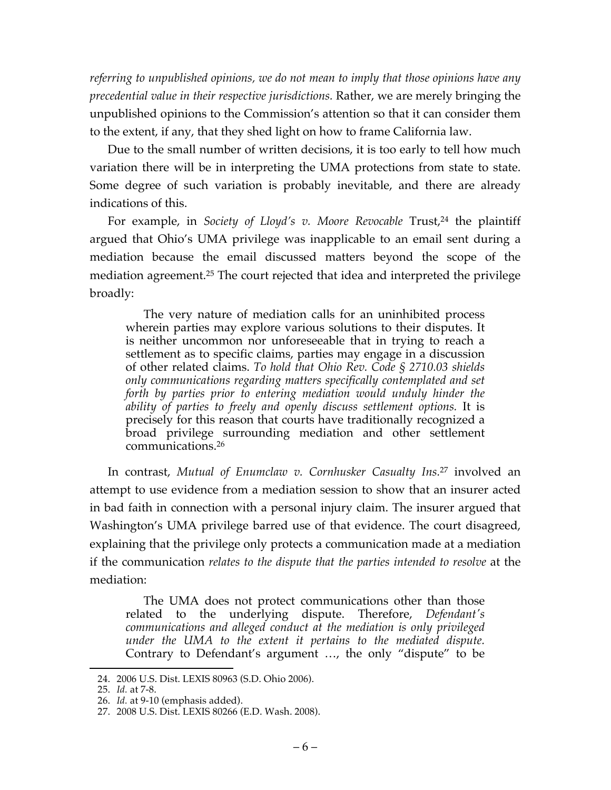*referring to unpublished opinions, we do not mean to imply that those opinions have any precedential value in their respective jurisdictions.* Rather, we are merely bringing the unpublished opinions to the Commission's attention so that it can consider them to the extent, if any, that they shed light on how to frame California law.

Due to the small number of written decisions, it is too early to tell how much variation there will be in interpreting the UMA protections from state to state. Some degree of such variation is probably inevitable, and there are already indications of this.

For example, in *Society of Lloyd's v. Moore Revocable* Trust,<sup>24</sup> the plaintiff argued that Ohio's UMA privilege was inapplicable to an email sent during a mediation because the email discussed matters beyond the scope of the mediation agreement.25 The court rejected that idea and interpreted the privilege broadly:

The very nature of mediation calls for an uninhibited process wherein parties may explore various solutions to their disputes. It is neither uncommon nor unforeseeable that in trying to reach a settlement as to specific claims, parties may engage in a discussion of other related claims. *To hold that Ohio Rev. Code § 2710.03 shields only communications regarding matters specifically contemplated and set forth by parties prior to entering mediation would unduly hinder the ability of parties to freely and openly discuss settlement options.* It is precisely for this reason that courts have traditionally recognized a broad privilege surrounding mediation and other settlement communications.26

In contrast, *Mutual of Enumclaw v. Cornhusker Casualty Ins.*<sup>27</sup> involved an attempt to use evidence from a mediation session to show that an insurer acted in bad faith in connection with a personal injury claim. The insurer argued that Washington's UMA privilege barred use of that evidence. The court disagreed, explaining that the privilege only protects a communication made at a mediation if the communication *relates to the dispute that the parties intended to resolve* at the mediation:

The UMA does not protect communications other than those related to the underlying dispute. Therefore, *Defendant's communications and alleged conduct at the mediation is only privileged under the UMA to the extent it pertains to the mediated dispute.* Contrary to Defendant's argument …, the only "dispute" to be

 <sup>24.</sup> 2006 U.S. Dist. LEXIS 80963 (S.D. Ohio 2006).

<sup>25.</sup> *Id.* at 7-8.

<sup>26.</sup> *Id.* at 9-10 (emphasis added).

<sup>27.</sup> 2008 U.S. Dist. LEXIS 80266 (E.D. Wash. 2008).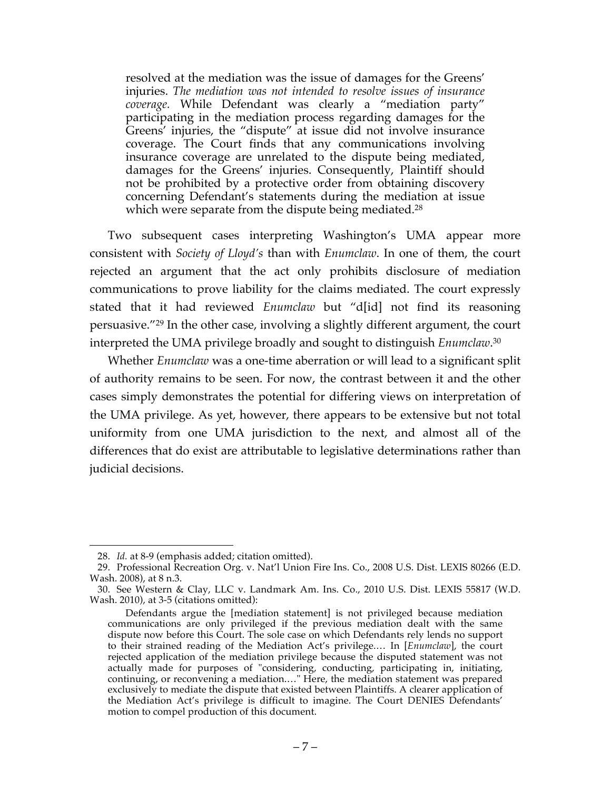resolved at the mediation was the issue of damages for the Greens' injuries. *The mediation was not intended to resolve issues of insurance coverage.* While Defendant was clearly a "mediation party" participating in the mediation process regarding damages for the Greens' injuries, the "dispute" at issue did not involve insurance coverage. The Court finds that any communications involving insurance coverage are unrelated to the dispute being mediated, damages for the Greens' injuries. Consequently, Plaintiff should not be prohibited by a protective order from obtaining discovery concerning Defendant's statements during the mediation at issue which were separate from the dispute being mediated.<sup>28</sup>

Two subsequent cases interpreting Washington's UMA appear more consistent with *Society of Lloyd's* than with *Enumclaw*. In one of them, the court rejected an argument that the act only prohibits disclosure of mediation communications to prove liability for the claims mediated. The court expressly stated that it had reviewed *Enumclaw* but "d[id] not find its reasoning persuasive."29 In the other case, involving a slightly different argument, the court interpreted the UMA privilege broadly and sought to distinguish *Enumclaw*. 30

Whether *Enumclaw* was a one-time aberration or will lead to a significant split of authority remains to be seen. For now, the contrast between it and the other cases simply demonstrates the potential for differing views on interpretation of the UMA privilege. As yet, however, there appears to be extensive but not total uniformity from one UMA jurisdiction to the next, and almost all of the differences that do exist are attributable to legislative determinations rather than judicial decisions.

 <sup>28.</sup> *Id.* at 8-9 (emphasis added; citation omitted).

<sup>29.</sup> Professional Recreation Org. v. Nat'l Union Fire Ins. Co., 2008 U.S. Dist. LEXIS 80266 (E.D. Wash. 2008), at 8 n.3.

<sup>30.</sup> See Western & Clay, LLC v. Landmark Am. Ins. Co., 2010 U.S. Dist. LEXIS 55817 (W.D. Wash. 2010), at 3-5 (citations omitted):

Defendants argue the [mediation statement] is not privileged because mediation communications are only privileged if the previous mediation dealt with the same dispute now before this Court. The sole case on which Defendants rely lends no support to their strained reading of the Mediation Act's privilege.… In [*Enumclaw*], the court rejected application of the mediation privilege because the disputed statement was not actually made for purposes of "considering, conducting, participating in, initiating, continuing, or reconvening a mediation.…" Here, the mediation statement was prepared exclusively to mediate the dispute that existed between Plaintiffs. A clearer application of the Mediation Act's privilege is difficult to imagine. The Court DENIES Defendants' motion to compel production of this document.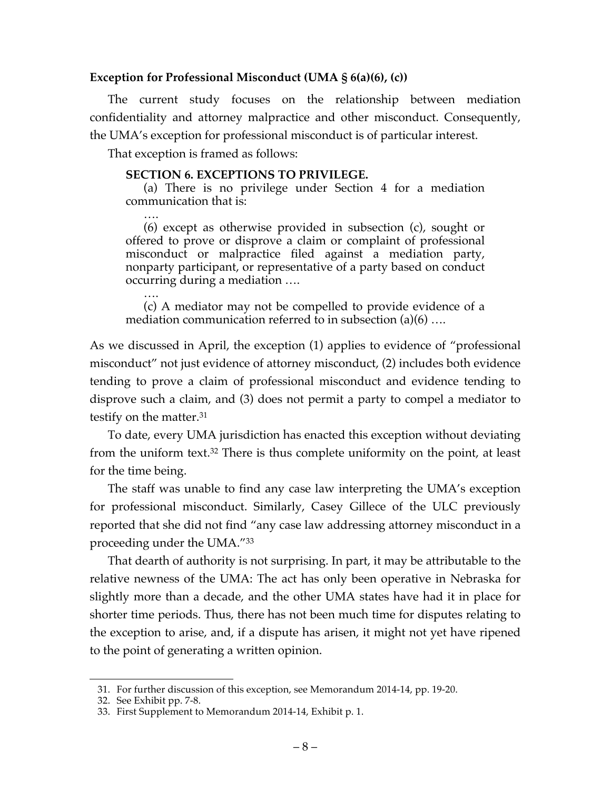### **Exception for Professional Misconduct (UMA § 6(a)(6), (c))**

The current study focuses on the relationship between mediation confidentiality and attorney malpractice and other misconduct. Consequently, the UMA's exception for professional misconduct is of particular interest.

That exception is framed as follows:

#### **SECTION 6. EXCEPTIONS TO PRIVILEGE.**

(a) There is no privilege under Section 4 for a mediation communication that is:

…. (6) except as otherwise provided in subsection (c), sought or offered to prove or disprove a claim or complaint of professional misconduct or malpractice filed against a mediation party, nonparty participant, or representative of a party based on conduct occurring during a mediation ….

…. (c) A mediator may not be compelled to provide evidence of a mediation communication referred to in subsection (a)(6) ….

As we discussed in April, the exception (1) applies to evidence of "professional misconduct" not just evidence of attorney misconduct, (2) includes both evidence tending to prove a claim of professional misconduct and evidence tending to disprove such a claim, and (3) does not permit a party to compel a mediator to testify on the matter.31

To date, every UMA jurisdiction has enacted this exception without deviating from the uniform text.32 There is thus complete uniformity on the point, at least for the time being.

The staff was unable to find any case law interpreting the UMA's exception for professional misconduct. Similarly, Casey Gillece of the ULC previously reported that she did not find "any case law addressing attorney misconduct in a proceeding under the UMA."33

That dearth of authority is not surprising. In part, it may be attributable to the relative newness of the UMA: The act has only been operative in Nebraska for slightly more than a decade, and the other UMA states have had it in place for shorter time periods. Thus, there has not been much time for disputes relating to the exception to arise, and, if a dispute has arisen, it might not yet have ripened to the point of generating a written opinion.

 <sup>31.</sup> For further discussion of this exception, see Memorandum 2014-14, pp. 19-20.

<sup>32.</sup> See Exhibit pp. 7-8.

<sup>33.</sup> First Supplement to Memorandum 2014-14, Exhibit p. 1.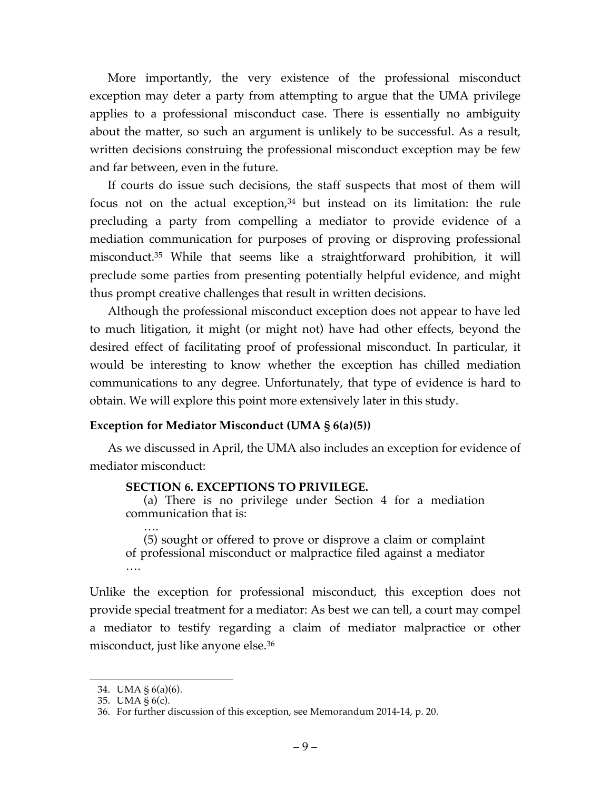More importantly, the very existence of the professional misconduct exception may deter a party from attempting to argue that the UMA privilege applies to a professional misconduct case. There is essentially no ambiguity about the matter, so such an argument is unlikely to be successful. As a result, written decisions construing the professional misconduct exception may be few and far between, even in the future.

If courts do issue such decisions, the staff suspects that most of them will focus not on the actual exception, $34$  but instead on its limitation: the rule precluding a party from compelling a mediator to provide evidence of a mediation communication for purposes of proving or disproving professional misconduct.35 While that seems like a straightforward prohibition, it will preclude some parties from presenting potentially helpful evidence, and might thus prompt creative challenges that result in written decisions.

Although the professional misconduct exception does not appear to have led to much litigation, it might (or might not) have had other effects, beyond the desired effect of facilitating proof of professional misconduct. In particular, it would be interesting to know whether the exception has chilled mediation communications to any degree. Unfortunately, that type of evidence is hard to obtain. We will explore this point more extensively later in this study.

# **Exception for Mediator Misconduct (UMA § 6(a)(5))**

As we discussed in April, the UMA also includes an exception for evidence of mediator misconduct:

### **SECTION 6. EXCEPTIONS TO PRIVILEGE.**

(a) There is no privilege under Section 4 for a mediation communication that is:

…. (5) sought or offered to prove or disprove a claim or complaint of professional misconduct or malpractice filed against a mediator ….

Unlike the exception for professional misconduct, this exception does not provide special treatment for a mediator: As best we can tell, a court may compel a mediator to testify regarding a claim of mediator malpractice or other misconduct, just like anyone else.36

 <sup>34.</sup> UMA § 6(a)(6).

<sup>35.</sup> UMA § 6(c).

<sup>36.</sup> For further discussion of this exception, see Memorandum 2014-14, p. 20.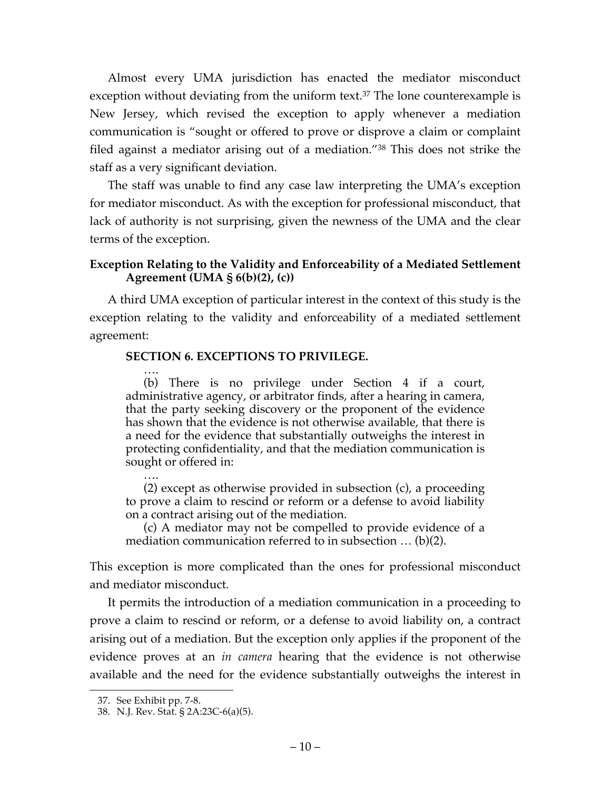Almost every UMA jurisdiction has enacted the mediator misconduct exception without deviating from the uniform text.<sup>37</sup> The lone counterexample is New Jersey, which revised the exception to apply whenever a mediation communication is "sought or offered to prove or disprove a claim or complaint filed against a mediator arising out of a mediation."38 This does not strike the staff as a very significant deviation.

The staff was unable to find any case law interpreting the UMA's exception for mediator misconduct. As with the exception for professional misconduct, that lack of authority is not surprising, given the newness of the UMA and the clear terms of the exception.

# **Exception Relating to the Validity and Enforceability of a Mediated Settlement Agreement (UMA § 6(b)(2), (c))**

A third UMA exception of particular interest in the context of this study is the exception relating to the validity and enforceability of a mediated settlement agreement:

### **SECTION 6. EXCEPTIONS TO PRIVILEGE.**

…. (b) There is no privilege under Section 4 if a court, administrative agency, or arbitrator finds, after a hearing in camera, that the party seeking discovery or the proponent of the evidence has shown that the evidence is not otherwise available, that there is a need for the evidence that substantially outweighs the interest in protecting confidentiality, and that the mediation communication is sought or offered in:

…. (2) except as otherwise provided in subsection (c), a proceeding to prove a claim to rescind or reform or a defense to avoid liability on a contract arising out of the mediation.

(c) A mediator may not be compelled to provide evidence of a mediation communication referred to in subsection … (b)(2).

This exception is more complicated than the ones for professional misconduct and mediator misconduct.

It permits the introduction of a mediation communication in a proceeding to prove a claim to rescind or reform, or a defense to avoid liability on, a contract arising out of a mediation. But the exception only applies if the proponent of the evidence proves at an *in camera* hearing that the evidence is not otherwise available and the need for the evidence substantially outweighs the interest in

 <sup>37.</sup> See Exhibit pp. 7-8.

<sup>38.</sup> N.J. Rev. Stat. § 2A:23C-6(a)(5).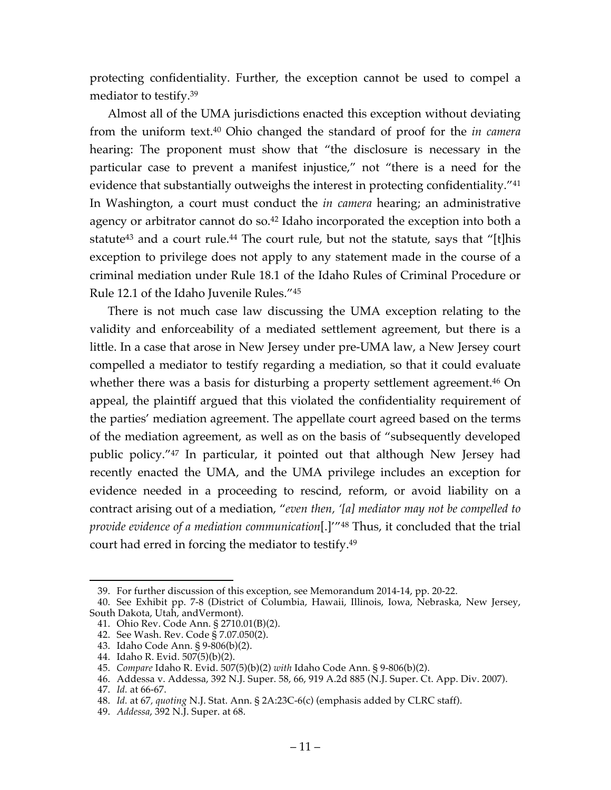protecting confidentiality. Further, the exception cannot be used to compel a mediator to testify.39

Almost all of the UMA jurisdictions enacted this exception without deviating from the uniform text.40 Ohio changed the standard of proof for the *in camera* hearing: The proponent must show that "the disclosure is necessary in the particular case to prevent a manifest injustice," not "there is a need for the evidence that substantially outweighs the interest in protecting confidentiality."<sup>41</sup> In Washington, a court must conduct the *in camera* hearing; an administrative agency or arbitrator cannot do so. <sup>42</sup> Idaho incorporated the exception into both a statute<sup>43</sup> and a court rule.<sup>44</sup> The court rule, but not the statute, says that "[t]his exception to privilege does not apply to any statement made in the course of a criminal mediation under Rule 18.1 of the Idaho Rules of Criminal Procedure or Rule 12.1 of the Idaho Juvenile Rules."45

There is not much case law discussing the UMA exception relating to the validity and enforceability of a mediated settlement agreement, but there is a little. In a case that arose in New Jersey under pre-UMA law, a New Jersey court compelled a mediator to testify regarding a mediation, so that it could evaluate whether there was a basis for disturbing a property settlement agreement.<sup>46</sup> On appeal, the plaintiff argued that this violated the confidentiality requirement of the parties' mediation agreement. The appellate court agreed based on the terms of the mediation agreement, as well as on the basis of "subsequently developed public policy."47 In particular, it pointed out that although New Jersey had recently enacted the UMA, and the UMA privilege includes an exception for evidence needed in a proceeding to rescind, reform, or avoid liability on a contract arising out of a mediation, "*even then, '[a] mediator may not be compelled to provide evidence of a mediation communication*[.]'"48 Thus, it concluded that the trial court had erred in forcing the mediator to testify.49

- 41. Ohio Rev. Code Ann. § 2710.01(B)(2).
- 42. See Wash. Rev. Code § 7.07.050(2).

 <sup>39.</sup> For further discussion of this exception, see Memorandum 2014-14, pp. 20-22.

<sup>40.</sup> See Exhibit pp. 7-8 (District of Columbia, Hawaii, Illinois, Iowa, Nebraska, New Jersey, South Dakota, Utah, andVermont).

<sup>43.</sup> Idaho Code Ann. § 9-806(b)(2).

<sup>44.</sup> Idaho R. Evid. 507(5)(b)(2).

<sup>45.</sup> *Compare* Idaho R. Evid. 507(5)(b)(2) *with* Idaho Code Ann. § 9-806(b)(2).

<sup>46.</sup> Addessa v. Addessa, 392 N.J. Super. 58, 66, 919 A.2d 885 (N.J. Super. Ct. App. Div. 2007).

<sup>47.</sup> *Id.* at 66-67.

<sup>48.</sup> *Id.* at 67*, quoting* N.J. Stat. Ann. § 2A:23C-6(c) (emphasis added by CLRC staff).

<sup>49.</sup> *Addessa*, 392 N.J. Super. at 68.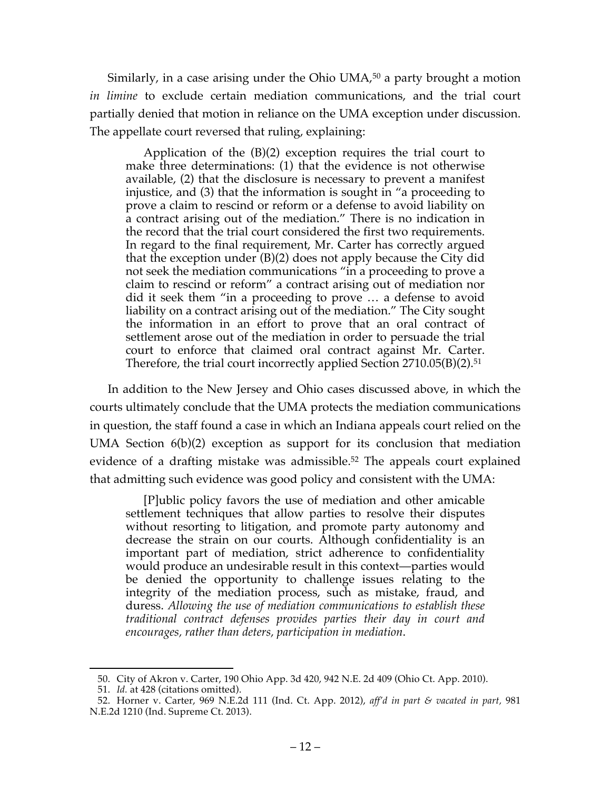Similarly, in a case arising under the Ohio UMA,<sup>50</sup> a party brought a motion *in limine* to exclude certain mediation communications, and the trial court partially denied that motion in reliance on the UMA exception under discussion. The appellate court reversed that ruling, explaining:

Application of the (B)(2) exception requires the trial court to make three determinations: (1) that the evidence is not otherwise available, (2) that the disclosure is necessary to prevent a manifest injustice, and (3) that the information is sought in "a proceeding to prove a claim to rescind or reform or a defense to avoid liability on a contract arising out of the mediation." There is no indication in the record that the trial court considered the first two requirements. In regard to the final requirement, Mr. Carter has correctly argued that the exception under (B)(2) does not apply because the City did not seek the mediation communications "in a proceeding to prove a claim to rescind or reform" a contract arising out of mediation nor did it seek them "in a proceeding to prove … a defense to avoid liability on a contract arising out of the mediation." The City sought the information in an effort to prove that an oral contract of settlement arose out of the mediation in order to persuade the trial court to enforce that claimed oral contract against Mr. Carter. Therefore, the trial court incorrectly applied Section 2710.05(B)(2).<sup>51</sup>

In addition to the New Jersey and Ohio cases discussed above, in which the courts ultimately conclude that the UMA protects the mediation communications in question, the staff found a case in which an Indiana appeals court relied on the UMA Section 6(b)(2) exception as support for its conclusion that mediation evidence of a drafting mistake was admissible.<sup>52</sup> The appeals court explained that admitting such evidence was good policy and consistent with the UMA:

[P]ublic policy favors the use of mediation and other amicable settlement techniques that allow parties to resolve their disputes without resorting to litigation, and promote party autonomy and decrease the strain on our courts. Although confidentiality is an important part of mediation, strict adherence to confidentiality would produce an undesirable result in this context—parties would be denied the opportunity to challenge issues relating to the integrity of the mediation process, such as mistake, fraud, and duress. *Allowing the use of mediation communications to establish these traditional contract defenses provides parties their day in court and encourages, rather than deters, participation in mediation*.

 <sup>50.</sup> City of Akron v. Carter, 190 Ohio App. 3d 420, 942 N.E. 2d 409 (Ohio Ct. App. 2010).

<sup>51.</sup> *Id.* at 428 (citations omitted).

<sup>52.</sup> Horner v. Carter, 969 N.E.2d 111 (Ind. Ct. App. 2012), *aff'd in part & vacated in part,* 981 N.E.2d 1210 (Ind. Supreme Ct. 2013).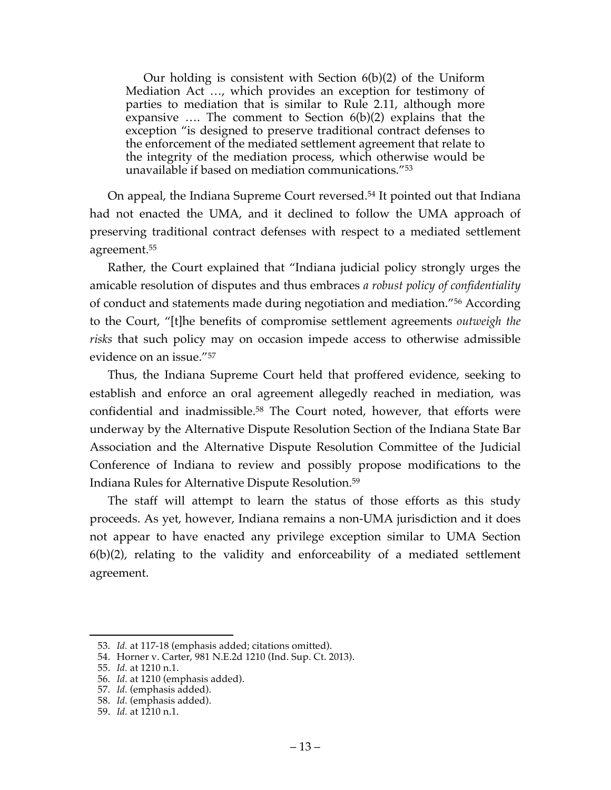Our holding is consistent with Section 6(b)(2) of the Uniform Mediation Act …, which provides an exception for testimony of parties to mediation that is similar to Rule 2.11, although more expansive …. The comment to Section 6(b)(2) explains that the exception "is designed to preserve traditional contract defenses to the enforcement of the mediated settlement agreement that relate to the integrity of the mediation process, which otherwise would be unavailable if based on mediation communications."53

On appeal, the Indiana Supreme Court reversed. <sup>54</sup> It pointed out that Indiana had not enacted the UMA, and it declined to follow the UMA approach of preserving traditional contract defenses with respect to a mediated settlement agreement.55

Rather, the Court explained that "Indiana judicial policy strongly urges the amicable resolution of disputes and thus embraces *a robust policy of confidentiality* of conduct and statements made during negotiation and mediation."56 According to the Court, "[t]he benefits of compromise settlement agreements *outweigh the risks* that such policy may on occasion impede access to otherwise admissible evidence on an issue."57

Thus, the Indiana Supreme Court held that proffered evidence, seeking to establish and enforce an oral agreement allegedly reached in mediation, was confidential and inadmissible.58 The Court noted, however, that efforts were underway by the Alternative Dispute Resolution Section of the Indiana State Bar Association and the Alternative Dispute Resolution Committee of the Judicial Conference of Indiana to review and possibly propose modifications to the Indiana Rules for Alternative Dispute Resolution.59

The staff will attempt to learn the status of those efforts as this study proceeds. As yet, however, Indiana remains a non-UMA jurisdiction and it does not appear to have enacted any privilege exception similar to UMA Section 6(b)(2), relating to the validity and enforceability of a mediated settlement agreement.

 <sup>53.</sup> *Id.* at 117-18 (emphasis added; citations omitted).

<sup>54.</sup> Horner v. Carter, 981 N.E.2d 1210 (Ind. Sup. Ct. 2013).

<sup>55.</sup> *Id.* at 1210 n.1.

<sup>56.</sup> *Id.* at 1210 (emphasis added).

<sup>57.</sup> *Id.* (emphasis added).

<sup>58.</sup> *Id.* (emphasis added).

<sup>59.</sup> *Id.* at 1210 n.1.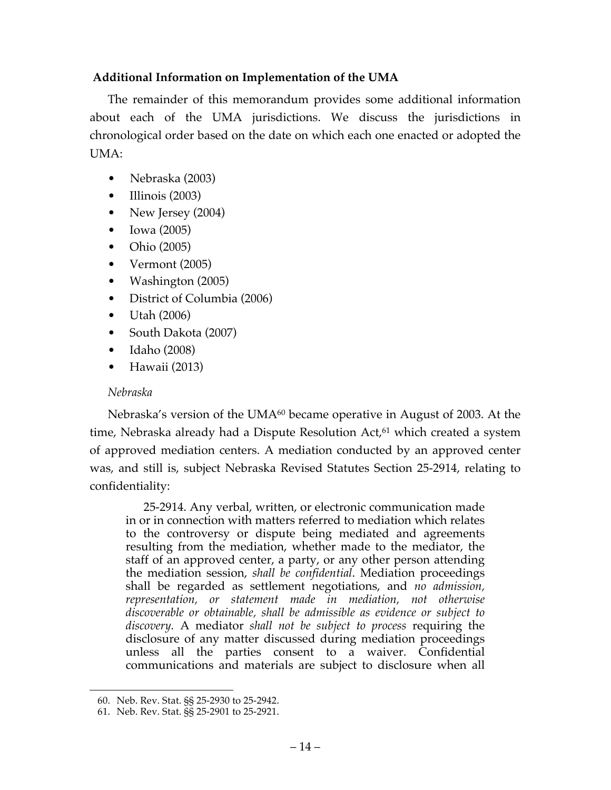# **Additional Information on Implementation of the UMA**

The remainder of this memorandum provides some additional information about each of the UMA jurisdictions. We discuss the jurisdictions in chronological order based on the date on which each one enacted or adopted the UMA:

- Nebraska (2003)
- Illinois (2003)
- New Jersey (2004)
- Iowa (2005)
- Ohio (2005)
- Vermont (2005)
- Washington (2005)
- District of Columbia (2006)
- Utah (2006)
- South Dakota (2007)
- Idaho (2008)
- Hawaii (2013)

# *Nebraska*

Nebraska's version of the UMA<sup>60</sup> became operative in August of 2003. At the time, Nebraska already had a Dispute Resolution Act,<sup>61</sup> which created a system of approved mediation centers. A mediation conducted by an approved center was, and still is, subject Nebraska Revised Statutes Section 25-2914, relating to confidentiality:

25-2914. Any verbal, written, or electronic communication made in or in connection with matters referred to mediation which relates to the controversy or dispute being mediated and agreements resulting from the mediation, whether made to the mediator, the staff of an approved center, a party, or any other person attending the mediation session, *shall be confidential*. Mediation proceedings shall be regarded as settlement negotiations, and *no admission, representation, or statement made in mediation, not otherwise discoverable or obtainable, shall be admissible as evidence or subject to discovery.* A mediator *shall not be subject to process* requiring the disclosure of any matter discussed during mediation proceedings unless all the parties consent to a waiver. Confidential communications and materials are subject to disclosure when all

 <sup>60.</sup> Neb. Rev. Stat. §§ 25-2930 to 25-2942.

<sup>61.</sup> Neb. Rev. Stat. §§ 25-2901 to 25-2921.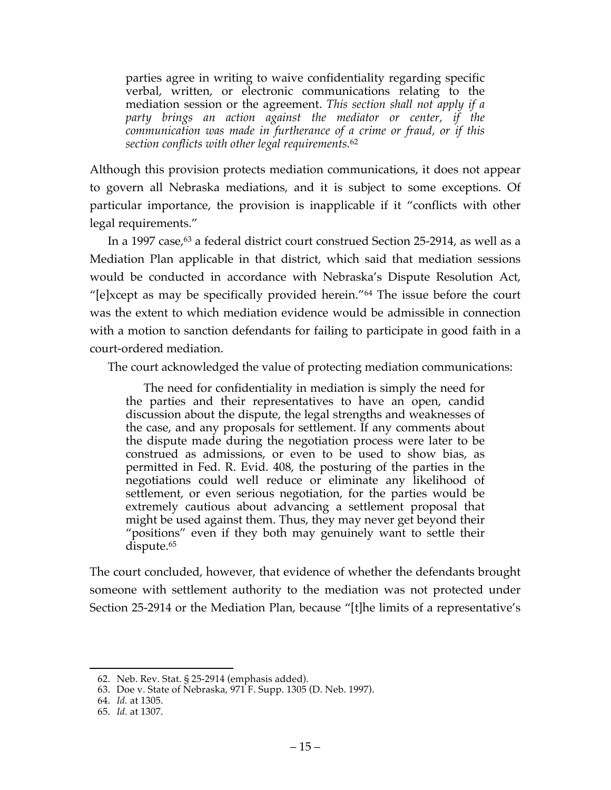parties agree in writing to waive confidentiality regarding specific verbal, written, or electronic communications relating to the mediation session or the agreement. *This section shall not apply if a party brings an action against the mediator or center, if the communication was made in furtherance of a crime or fraud, or if this section conflicts with other legal requirements.*<sup>62</sup>

Although this provision protects mediation communications, it does not appear to govern all Nebraska mediations, and it is subject to some exceptions. Of particular importance, the provision is inapplicable if it "conflicts with other legal requirements."

In a 1997 case,<sup>63</sup> a federal district court construed Section 25-2914, as well as a Mediation Plan applicable in that district, which said that mediation sessions would be conducted in accordance with Nebraska's Dispute Resolution Act, "[e]xcept as may be specifically provided herein."64 The issue before the court was the extent to which mediation evidence would be admissible in connection with a motion to sanction defendants for failing to participate in good faith in a court-ordered mediation.

The court acknowledged the value of protecting mediation communications:

The need for confidentiality in mediation is simply the need for the parties and their representatives to have an open, candid discussion about the dispute, the legal strengths and weaknesses of the case, and any proposals for settlement. If any comments about the dispute made during the negotiation process were later to be construed as admissions, or even to be used to show bias, as permitted in Fed. R. Evid. 408, the posturing of the parties in the negotiations could well reduce or eliminate any likelihood of settlement, or even serious negotiation, for the parties would be extremely cautious about advancing a settlement proposal that might be used against them. Thus, they may never get beyond their "positions" even if they both may genuinely want to settle their dispute.65

The court concluded, however, that evidence of whether the defendants brought someone with settlement authority to the mediation was not protected under Section 25-2914 or the Mediation Plan, because "[t]he limits of a representative's

 <sup>62.</sup> Neb. Rev. Stat. § 25-2914 (emphasis added).

<sup>63.</sup> Doe v. State of Nebraska, 971 F. Supp. 1305 (D. Neb. 1997).

<sup>64.</sup> *Id.* at 1305.

<sup>65.</sup> *Id.* at 1307.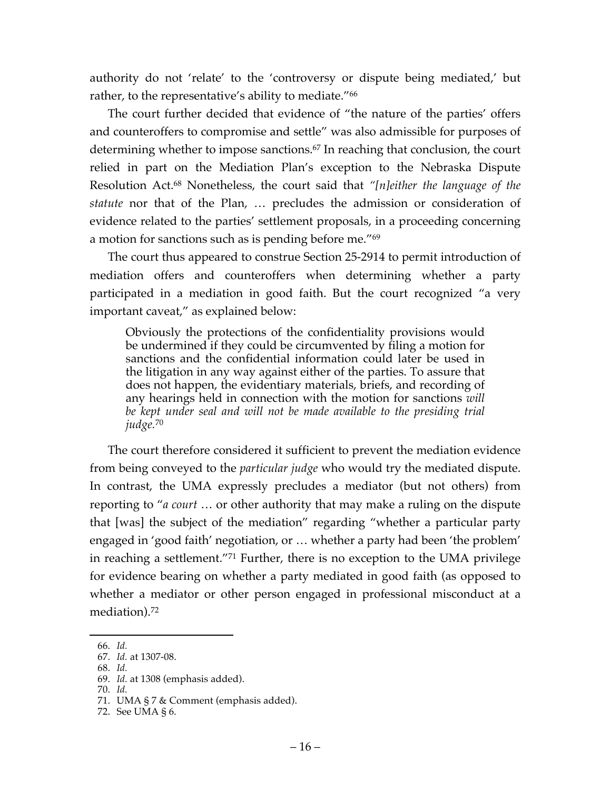authority do not 'relate' to the 'controversy or dispute being mediated,' but rather, to the representative's ability to mediate."<sup>66</sup>

The court further decided that evidence of "the nature of the parties' offers and counteroffers to compromise and settle" was also admissible for purposes of determining whether to impose sanctions.<sup>67</sup> In reaching that conclusion, the court relied in part on the Mediation Plan's exception to the Nebraska Dispute Resolution Act.68 Nonetheless, the court said that *"[n]either the language of the statute* nor that of the Plan, … precludes the admission or consideration of evidence related to the parties' settlement proposals, in a proceeding concerning a motion for sanctions such as is pending before me."69

The court thus appeared to construe Section 25-2914 to permit introduction of mediation offers and counteroffers when determining whether a party participated in a mediation in good faith. But the court recognized "a very important caveat," as explained below:

Obviously the protections of the confidentiality provisions would be undermined if they could be circumvented by filing a motion for sanctions and the confidential information could later be used in the litigation in any way against either of the parties. To assure that does not happen, the evidentiary materials, briefs, and recording of any hearings held in connection with the motion for sanctions *will be kept under seal and will not be made available to the presiding trial judge.*<sup>70</sup>

The court therefore considered it sufficient to prevent the mediation evidence from being conveyed to the *particular judge* who would try the mediated dispute. In contrast, the UMA expressly precludes a mediator (but not others) from reporting to "*a court* … or other authority that may make a ruling on the dispute that [was] the subject of the mediation" regarding "whether a particular party engaged in 'good faith' negotiation, or … whether a party had been 'the problem' in reaching a settlement."71 Further, there is no exception to the UMA privilege for evidence bearing on whether a party mediated in good faith (as opposed to whether a mediator or other person engaged in professional misconduct at a mediation). 72

 <sup>66.</sup> *Id.*

<sup>67.</sup> *Id.* at 1307-08.

<sup>68.</sup> *Id.*

<sup>69.</sup> *Id.* at 1308 (emphasis added).

<sup>70.</sup> *Id.*

<sup>71.</sup> UMA § 7 & Comment (emphasis added).

<sup>72.</sup> See UMA § 6.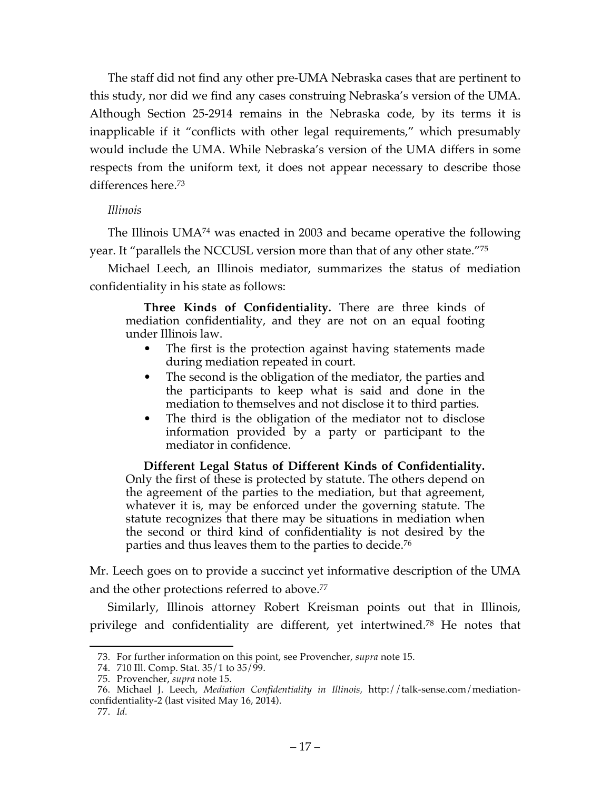The staff did not find any other pre-UMA Nebraska cases that are pertinent to this study, nor did we find any cases construing Nebraska's version of the UMA. Although Section 25-2914 remains in the Nebraska code, by its terms it is inapplicable if it "conflicts with other legal requirements," which presumably would include the UMA. While Nebraska's version of the UMA differs in some respects from the uniform text, it does not appear necessary to describe those differences here.73

# *Illinois*

The Illinois UMA74 was enacted in 2003 and became operative the following year. It "parallels the NCCUSL version more than that of any other state."75

Michael Leech, an Illinois mediator, summarizes the status of mediation confidentiality in his state as follows:

**Three Kinds of Confidentiality.** There are three kinds of mediation confidentiality, and they are not on an equal footing under Illinois law.

- The first is the protection against having statements made during mediation repeated in court.
- The second is the obligation of the mediator, the parties and the participants to keep what is said and done in the mediation to themselves and not disclose it to third parties.
- The third is the obligation of the mediator not to disclose information provided by a party or participant to the mediator in confidence.

**Different Legal Status of Different Kinds of Confidentiality.** Only the first of these is protected by statute. The others depend on the agreement of the parties to the mediation, but that agreement, whatever it is, may be enforced under the governing statute. The statute recognizes that there may be situations in mediation when the second or third kind of confidentiality is not desired by the parties and thus leaves them to the parties to decide.76

Mr. Leech goes on to provide a succinct yet informative description of the UMA and the other protections referred to above.<sup>77</sup>

Similarly, Illinois attorney Robert Kreisman points out that in Illinois, privilege and confidentiality are different, yet intertwined. <sup>78</sup> He notes that

 <sup>73.</sup> For further information on this point, see Provencher, *supra* note 15.

<sup>74.</sup> 710 Ill. Comp. Stat. 35/1 to 35/99.

<sup>75.</sup> Provencher, *supra* note 15.

<sup>76.</sup> Michael J. Leech, *Mediation Confidentiality in Illinois,* http://talk-sense.com/mediationconfidentiality-2 (last visited May 16, 2014).

<sup>77.</sup> *Id.*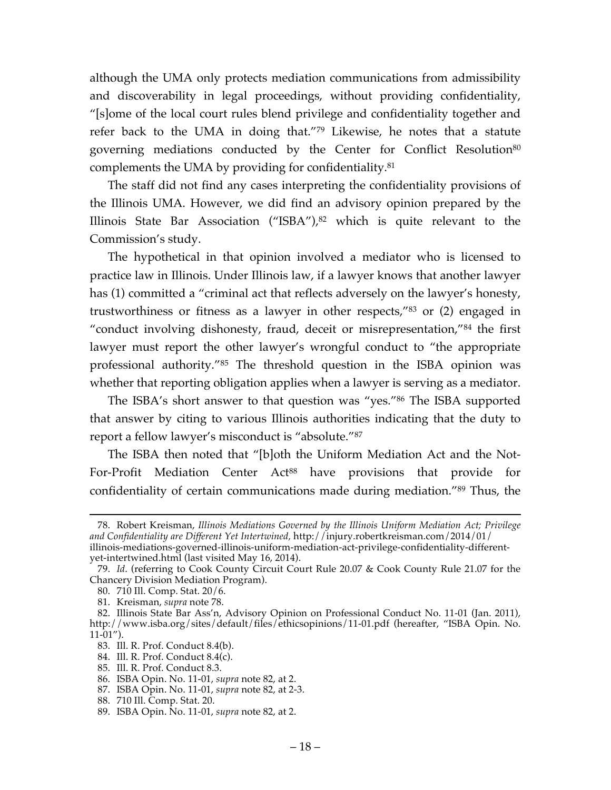although the UMA only protects mediation communications from admissibility and discoverability in legal proceedings, without providing confidentiality, "[s]ome of the local court rules blend privilege and confidentiality together and refer back to the UMA in doing that."79 Likewise, he notes that a statute governing mediations conducted by the Center for Conflict Resolution<sup>80</sup> complements the UMA by providing for confidentiality.81

The staff did not find any cases interpreting the confidentiality provisions of the Illinois UMA. However, we did find an advisory opinion prepared by the Illinois State Bar Association ("ISBA"), <sup>82</sup> which is quite relevant to the Commission's study.

The hypothetical in that opinion involved a mediator who is licensed to practice law in Illinois. Under Illinois law, if a lawyer knows that another lawyer has (1) committed a "criminal act that reflects adversely on the lawyer's honesty, trustworthiness or fitness as a lawyer in other respects,"83 or (2) engaged in "conduct involving dishonesty, fraud, deceit or misrepresentation,"84 the first lawyer must report the other lawyer's wrongful conduct to "the appropriate professional authority."85 The threshold question in the ISBA opinion was whether that reporting obligation applies when a lawyer is serving as a mediator.

The ISBA's short answer to that question was "yes."86 The ISBA supported that answer by citing to various Illinois authorities indicating that the duty to report a fellow lawyer's misconduct is "absolute."87

The ISBA then noted that "[b]oth the Uniform Mediation Act and the Not-For-Profit Mediation Center Act<sup>88</sup> have provisions that provide for confidentiality of certain communications made during mediation."89 Thus, the

 <sup>78.</sup> Robert Kreisman, *Illinois Mediations Governed by the Illinois Uniform Mediation Act; Privilege and Confidentiality are Different Yet Intertwined,* http://injury.robertkreisman.com/2014/01/ illinois-mediations-governed-illinois-uniform-mediation-act-privilege-confidentiality-different-

yet-intertwined.html (last visited May 16, 2014).

<sup>79.</sup> *Id*. (referring to Cook County Circuit Court Rule 20.07 & Cook County Rule 21.07 for the Chancery Division Mediation Program).

<sup>80.</sup> 710 Ill. Comp. Stat. 20/6.

<sup>81.</sup> Kreisman, *supra* note 78.

<sup>82.</sup> Illinois State Bar Ass'n, Advisory Opinion on Professional Conduct No. 11-01 (Jan. 2011), http://www.isba.org/sites/default/files/ethicsopinions/11-01.pdf (hereafter, "ISBA Opin. No. 11-01").

<sup>83.</sup> Ill. R. Prof. Conduct 8.4(b).

<sup>84.</sup> Ill. R. Prof. Conduct 8.4(c).

<sup>85.</sup> Ill. R. Prof. Conduct 8.3.

<sup>86.</sup> ISBA Opin. No. 11-01, *supra* note 82, at 2.

<sup>87.</sup> ISBA Opin. No. 11-01, *supra* note 82, at 2-3.

<sup>88.</sup> 710 Ill. Comp. Stat. 20.

<sup>89.</sup> ISBA Opin. No. 11-01, *supra* note 82, at 2.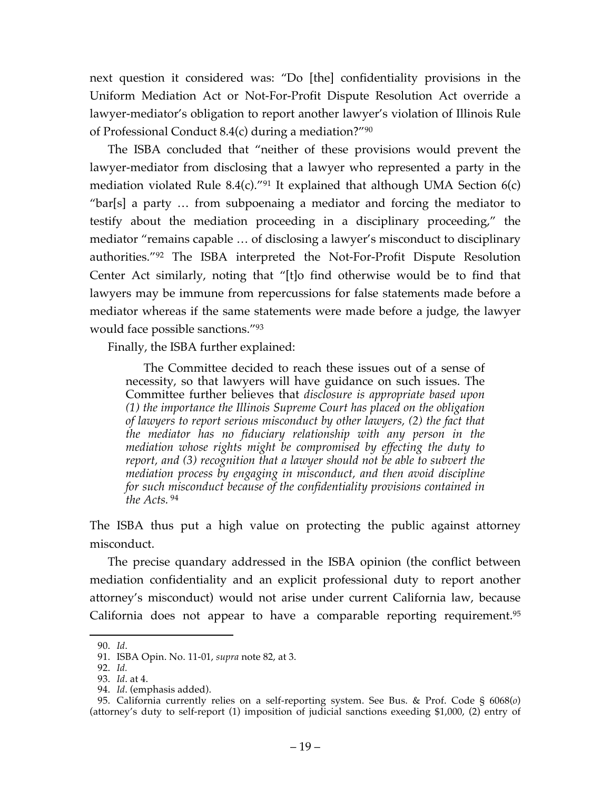next question it considered was: "Do [the] confidentiality provisions in the Uniform Mediation Act or Not-For-Profit Dispute Resolution Act override a lawyer-mediator's obligation to report another lawyer's violation of Illinois Rule of Professional Conduct 8.4(c) during a mediation?"90

The ISBA concluded that "neither of these provisions would prevent the lawyer-mediator from disclosing that a lawyer who represented a party in the mediation violated Rule 8.4(c)."<sup>91</sup> It explained that although UMA Section  $6(c)$ "bar[s] a party … from subpoenaing a mediator and forcing the mediator to testify about the mediation proceeding in a disciplinary proceeding," the mediator "remains capable … of disclosing a lawyer's misconduct to disciplinary authorities."92 The ISBA interpreted the Not-For-Profit Dispute Resolution Center Act similarly, noting that "[t]o find otherwise would be to find that lawyers may be immune from repercussions for false statements made before a mediator whereas if the same statements were made before a judge, the lawyer would face possible sanctions."93

Finally, the ISBA further explained:

The Committee decided to reach these issues out of a sense of necessity, so that lawyers will have guidance on such issues. The Committee further believes that *disclosure is appropriate based upon (1) the importance the Illinois Supreme Court has placed on the obligation of lawyers to report serious misconduct by other lawyers, (2) the fact that the mediator has no fiduciary relationship with any person in the mediation whose rights might be compromised by effecting the duty to report, and (3) recognition that a lawyer should not be able to subvert the mediation process by engaging in misconduct, and then avoid discipline for such misconduct because of the confidentiality provisions contained in the Acts.* <sup>94</sup>

The ISBA thus put a high value on protecting the public against attorney misconduct.

The precise quandary addressed in the ISBA opinion (the conflict between mediation confidentiality and an explicit professional duty to report another attorney's misconduct) would not arise under current California law, because California does not appear to have a comparable reporting requirement. 95

 <sup>90.</sup> *Id*.

<sup>91.</sup> ISBA Opin. No. 11-01, *supra* note 82, at 3.

<sup>92.</sup> *Id.*

<sup>93.</sup> *Id*. at 4.

<sup>94.</sup> *Id*. (emphasis added).

<sup>95.</sup> California currently relies on a self-reporting system. See Bus. & Prof. Code § 6068(*o*) (attorney's duty to self-report (1) imposition of judicial sanctions exeeding \$1,000, (2) entry of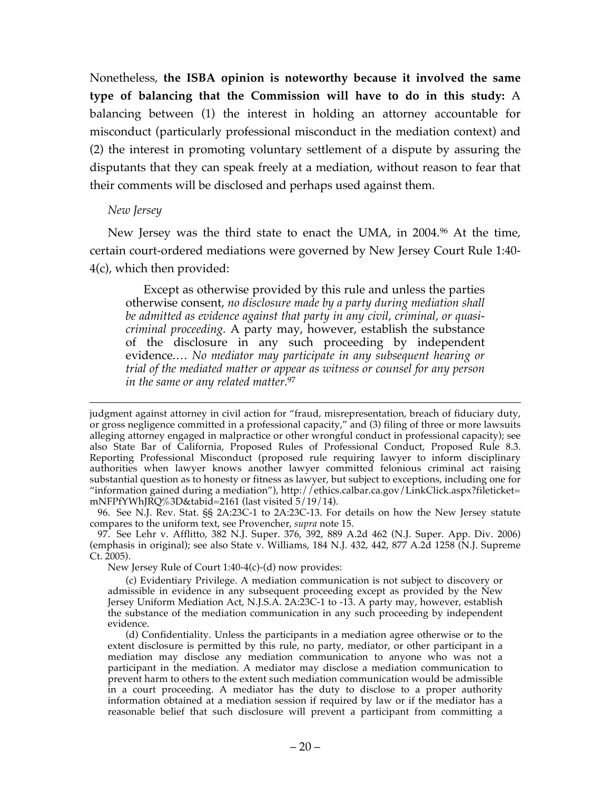Nonetheless, **the ISBA opinion is noteworthy because it involved the same type of balancing that the Commission will have to do in this study:** A balancing between (1) the interest in holding an attorney accountable for misconduct (particularly professional misconduct in the mediation context) and (2) the interest in promoting voluntary settlement of a dispute by assuring the disputants that they can speak freely at a mediation, without reason to fear that their comments will be disclosed and perhaps used against them.

### *New Jersey*

New Jersey was the third state to enact the UMA, in 2004.96 At the time, certain court-ordered mediations were governed by New Jersey Court Rule 1:40- 4(c), which then provided:

Except as otherwise provided by this rule and unless the parties otherwise consent, *no disclosure made by a party during mediation shall be admitted as evidence against that party in any civil, criminal, or quasicriminal proceeding.* A party may, however, establish the substance of the disclosure in any such proceeding by independent evidence.… *No mediator may participate in any subsequent hearing or trial of the mediated matter or appear as witness or counsel for any person in the same or any related matter.*<sup>97</sup>

New Jersey Rule of Court 1:40-4(c)-(d) now provides:

(c) Evidentiary Privilege. A mediation communication is not subject to discovery or admissible in evidence in any subsequent proceeding except as provided by the New Jersey Uniform Mediation Act, N.J.S.A. 2A:23C-1 to -13. A party may, however, establish the substance of the mediation communication in any such proceeding by independent evidence.

judgment against attorney in civil action for "fraud, misrepresentation, breach of fiduciary duty, or gross negligence committed in a professional capacity," and (3) filing of three or more lawsuits alleging attorney engaged in malpractice or other wrongful conduct in professional capacity); see also State Bar of California, Proposed Rules of Professional Conduct, Proposed Rule 8.3. Reporting Professional Misconduct (proposed rule requiring lawyer to inform disciplinary authorities when lawyer knows another lawyer committed felonious criminal act raising substantial question as to honesty or fitness as lawyer, but subject to exceptions, including one for "information gained during a mediation"), http://ethics.calbar.ca.gov/LinkClick.aspx?fileticket= mNFPfYWhJRQ%3D&tabid=2161 (last visited 5/19/14).

<sup>96.</sup> See N.J. Rev. Stat. §§ 2A:23C-1 to 2A:23C-13. For details on how the New Jersey statute compares to the uniform text, see Provencher, *supra* note 15.

<sup>97.</sup> See Lehr v. Afflitto, 382 N.J. Super. 376, 392, 889 A.2d 462 (N.J. Super. App. Div. 2006) (emphasis in original); see also State v. Williams, 184 N.J. 432, 442, 877 A.2d 1258 (N.J. Supreme Ct. 2005).

<sup>(</sup>d) Confidentiality. Unless the participants in a mediation agree otherwise or to the extent disclosure is permitted by this rule, no party, mediator, or other participant in a mediation may disclose any mediation communication to anyone who was not a participant in the mediation. A mediator may disclose a mediation communication to prevent harm to others to the extent such mediation communication would be admissible in a court proceeding. A mediator has the duty to disclose to a proper authority information obtained at a mediation session if required by law or if the mediator has a reasonable belief that such disclosure will prevent a participant from committing a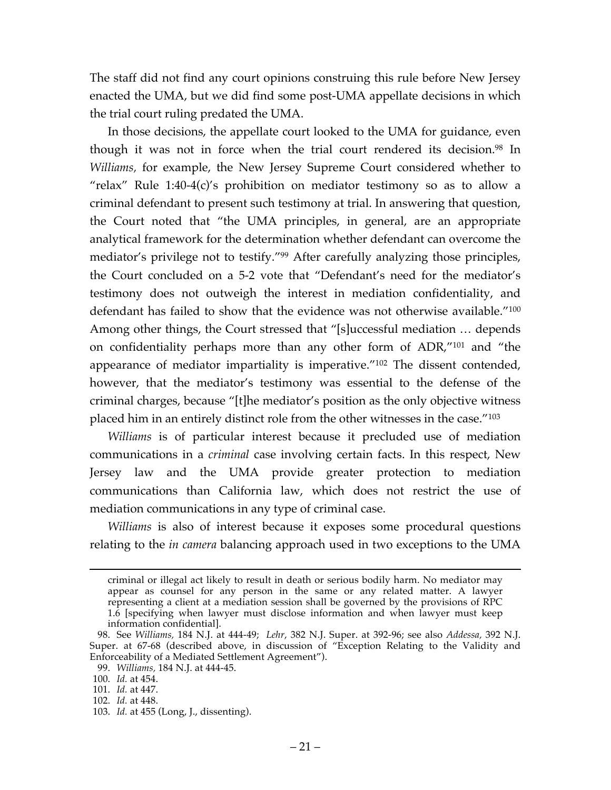The staff did not find any court opinions construing this rule before New Jersey enacted the UMA, but we did find some post-UMA appellate decisions in which the trial court ruling predated the UMA.

In those decisions, the appellate court looked to the UMA for guidance, even though it was not in force when the trial court rendered its decision.<sup>98</sup> In *Williams,* for example, the New Jersey Supreme Court considered whether to "relax" Rule 1:40-4(c)'s prohibition on mediator testimony so as to allow a criminal defendant to present such testimony at trial. In answering that question, the Court noted that "the UMA principles, in general, are an appropriate analytical framework for the determination whether defendant can overcome the mediator's privilege not to testify."99 After carefully analyzing those principles, the Court concluded on a 5-2 vote that "Defendant's need for the mediator's testimony does not outweigh the interest in mediation confidentiality, and defendant has failed to show that the evidence was not otherwise available."<sup>100</sup> Among other things, the Court stressed that "[s]uccessful mediation … depends on confidentiality perhaps more than any other form of ADR,"101 and "the appearance of mediator impartiality is imperative."102 The dissent contended, however, that the mediator's testimony was essential to the defense of the criminal charges, because "[t]he mediator's position as the only objective witness placed him in an entirely distinct role from the other witnesses in the case."103

*Williams* is of particular interest because it precluded use of mediation communications in a *criminal* case involving certain facts. In this respect, New Jersey law and the UMA provide greater protection to mediation communications than California law, which does not restrict the use of mediation communications in any type of criminal case.

*Williams* is also of interest because it exposes some procedural questions relating to the *in camera* balancing approach used in two exceptions to the UMA

criminal or illegal act likely to result in death or serious bodily harm. No mediator may appear as counsel for any person in the same or any related matter. A lawyer representing a client at a mediation session shall be governed by the provisions of RPC 1.6 [specifying when lawyer must disclose information and when lawyer must keep information confidential].

<sup>98.</sup> See *Williams,* 184 N.J. at 444-49; *Lehr*, 382 N.J. Super. at 392-96; see also *Addessa,* 392 N.J. Super. at 67-68 (described above, in discussion of "Exception Relating to the Validity and Enforceability of a Mediated Settlement Agreement").

<sup>99.</sup> *Williams,* 184 N.J. at 444-45.

<sup>100.</sup> *Id.* at 454.

<sup>101.</sup> *Id.* at 447.

<sup>102.</sup> *Id.* at 448.

<sup>103.</sup> *Id.* at 455 (Long, J., dissenting).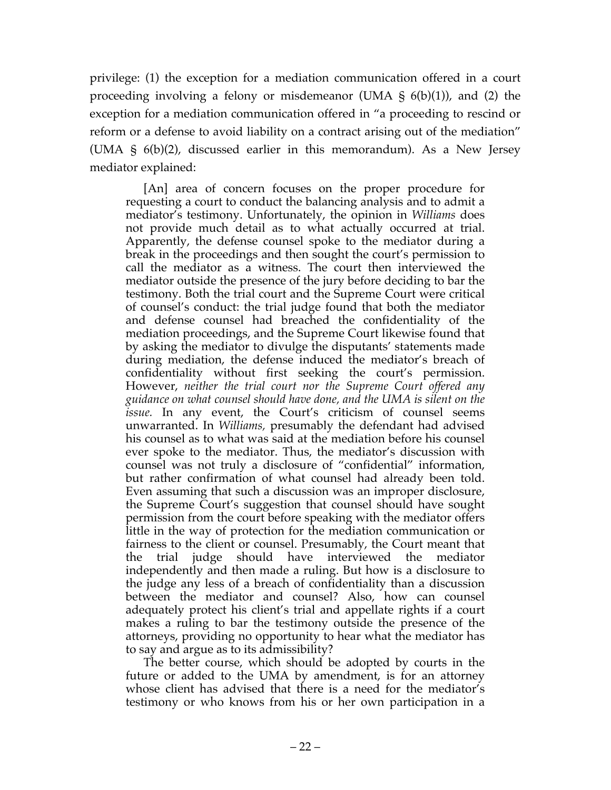privilege: (1) the exception for a mediation communication offered in a court proceeding involving a felony or misdemeanor (UMA  $\frac{1}{5}$  6(b)(1)), and (2) the exception for a mediation communication offered in "a proceeding to rescind or reform or a defense to avoid liability on a contract arising out of the mediation" (UMA § 6(b)(2), discussed earlier in this memorandum). As a New Jersey mediator explained:

[An] area of concern focuses on the proper procedure for requesting a court to conduct the balancing analysis and to admit a mediator's testimony. Unfortunately, the opinion in *Williams* does not provide much detail as to what actually occurred at trial. Apparently, the defense counsel spoke to the mediator during a break in the proceedings and then sought the court's permission to call the mediator as a witness. The court then interviewed the mediator outside the presence of the jury before deciding to bar the testimony. Both the trial court and the Supreme Court were critical of counsel's conduct: the trial judge found that both the mediator and defense counsel had breached the confidentiality of the mediation proceedings, and the Supreme Court likewise found that by asking the mediator to divulge the disputants' statements made during mediation, the defense induced the mediator's breach of confidentiality without first seeking the court's permission. However, *neither the trial court nor the Supreme Court offered any guidance on what counsel should have done, and the UMA is silent on the issue.* In any event, the Court's criticism of counsel seems unwarranted. In *Williams,* presumably the defendant had advised his counsel as to what was said at the mediation before his counsel ever spoke to the mediator. Thus, the mediator's discussion with counsel was not truly a disclosure of "confidential" information, but rather confirmation of what counsel had already been told. Even assuming that such a discussion was an improper disclosure, the Supreme Court's suggestion that counsel should have sought permission from the court before speaking with the mediator offers little in the way of protection for the mediation communication or fairness to the client or counsel. Presumably, the Court meant that the trial judge should have interviewed the mediator independently and then made a ruling. But how is a disclosure to the judge any less of a breach of confidentiality than a discussion between the mediator and counsel? Also, how can counsel adequately protect his client's trial and appellate rights if a court makes a ruling to bar the testimony outside the presence of the attorneys, providing no opportunity to hear what the mediator has to say and argue as to its admissibility?

The better course, which should be adopted by courts in the future or added to the UMA by amendment, is for an attorney whose client has advised that there is a need for the mediator's testimony or who knows from his or her own participation in a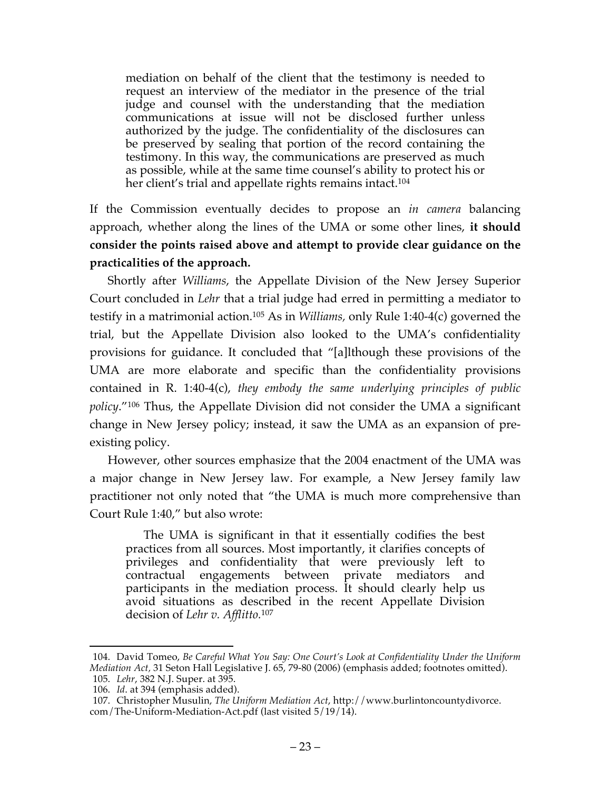mediation on behalf of the client that the testimony is needed to request an interview of the mediator in the presence of the trial judge and counsel with the understanding that the mediation communications at issue will not be disclosed further unless authorized by the judge. The confidentiality of the disclosures can be preserved by sealing that portion of the record containing the testimony. In this way, the communications are preserved as much as possible, while at the same time counsel's ability to protect his or her client's trial and appellate rights remains intact.<sup>104</sup>

If the Commission eventually decides to propose an *in camera* balancing approach, whether along the lines of the UMA or some other lines, **it should consider the points raised above and attempt to provide clear guidance on the practicalities of the approach.**

Shortly after *Williams*, the Appellate Division of the New Jersey Superior Court concluded in *Lehr* that a trial judge had erred in permitting a mediator to testify in a matrimonial action.105 As in *Williams,* only Rule 1:40-4(c) governed the trial, but the Appellate Division also looked to the UMA's confidentiality provisions for guidance. It concluded that "[a]lthough these provisions of the UMA are more elaborate and specific than the confidentiality provisions contained in R. 1:40-4(c), *they embody the same underlying principles of public policy*."106 Thus, the Appellate Division did not consider the UMA a significant change in New Jersey policy; instead, it saw the UMA as an expansion of preexisting policy.

However, other sources emphasize that the 2004 enactment of the UMA was a major change in New Jersey law. For example, a New Jersey family law practitioner not only noted that "the UMA is much more comprehensive than Court Rule 1:40," but also wrote:

The UMA is significant in that it essentially codifies the best practices from all sources. Most importantly, it clarifies concepts of privileges and confidentiality that were previously left to contractual engagements between private mediators and participants in the mediation process. It should clearly help us avoid situations as described in the recent Appellate Division decision of *Lehr v. Afflitto.*<sup>107</sup>

 <sup>104.</sup> David Tomeo, *Be Careful What You Say: One Court's Look at Confidentiality Under the Uniform Mediation Act,* 31 Seton Hall Legislative J. 65, 79-80 (2006) (emphasis added; footnotes omitted). 105. *Lehr*, 382 N.J. Super. at 395.

<sup>106.</sup> *Id*. at 394 (emphasis added).

<sup>107.</sup> Christopher Musulin, *The Uniform Mediation Act*, http://www.burlintoncountydivorce. com/The-Uniform-Mediation-Act.pdf (last visited 5/19/14).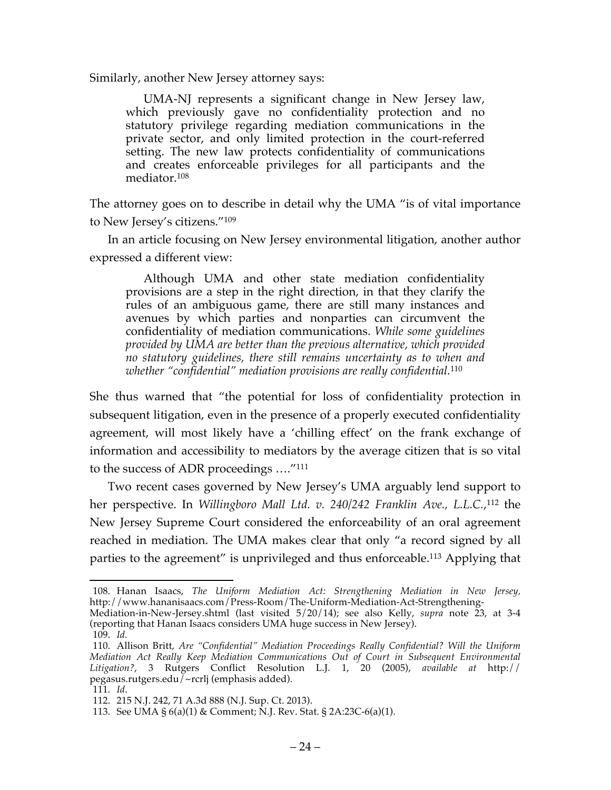Similarly, another New Jersey attorney says:

UMA-NJ represents a significant change in New Jersey law, which previously gave no confidentiality protection and no statutory privilege regarding mediation communications in the private sector, and only limited protection in the court-referred setting. The new law protects confidentiality of communications and creates enforceable privileges for all participants and the mediator.108

The attorney goes on to describe in detail why the UMA "is of vital importance to New Jersey's citizens."109

In an article focusing on New Jersey environmental litigation, another author expressed a different view:

Although UMA and other state mediation confidentiality provisions are a step in the right direction, in that they clarify the rules of an ambiguous game, there are still many instances and avenues by which parties and nonparties can circumvent the confidentiality of mediation communications. *While some guidelines provided by UMA are better than the previous alternative, which provided no statutory guidelines, there still remains uncertainty as to when and whether "confidential" mediation provisions are really confidential.*<sup>110</sup>

She thus warned that "the potential for loss of confidentiality protection in subsequent litigation, even in the presence of a properly executed confidentiality agreement, will most likely have a 'chilling effect' on the frank exchange of information and accessibility to mediators by the average citizen that is so vital to the success of ADR proceedings …."111

Two recent cases governed by New Jersey's UMA arguably lend support to her perspective. In *Willingboro Mall Ltd. v. 240/242 Franklin Ave., L.L.C.*, <sup>112</sup> the New Jersey Supreme Court considered the enforceability of an oral agreement reached in mediation. The UMA makes clear that only "a record signed by all parties to the agreement" is unprivileged and thus enforceable.113 Applying that

 <sup>108.</sup> Hanan Isaacs, *The Uniform Mediation Act: Strengthening Mediation in New Jersey,* http://www.hananisaacs.com/Press-Room/The-Uniform-Mediation-Act-Strengthening-

Mediation-in-New-Jersey.shtml (last visited 5/20/14); see also Kelly, *supra* note 23, at 3-4 (reporting that Hanan Isaacs considers UMA huge success in New Jersey).

<sup>109.</sup> *Id.*

<sup>110.</sup> Allison Britt, *Are "Confidential" Mediation Proceedings Really Confidential? Will the Uniform Mediation Act Really Keep Mediation Communications Out of Court in Subsequent Environmental Litigation?*, 3 Rutgers Conflict Resolution L.J. 1, 20 (2005), *available at* http:// pegasus.rutgers.edu/~rcrlj (emphasis added).

<sup>111.</sup> *Id*.

<sup>112.</sup> 215 N.J. 242, 71 A.3d 888 (N.J. Sup. Ct. 2013).

<sup>113.</sup> See UMA § 6(a)(1) & Comment; N.J. Rev. Stat. § 2A:23C-6(a)(1).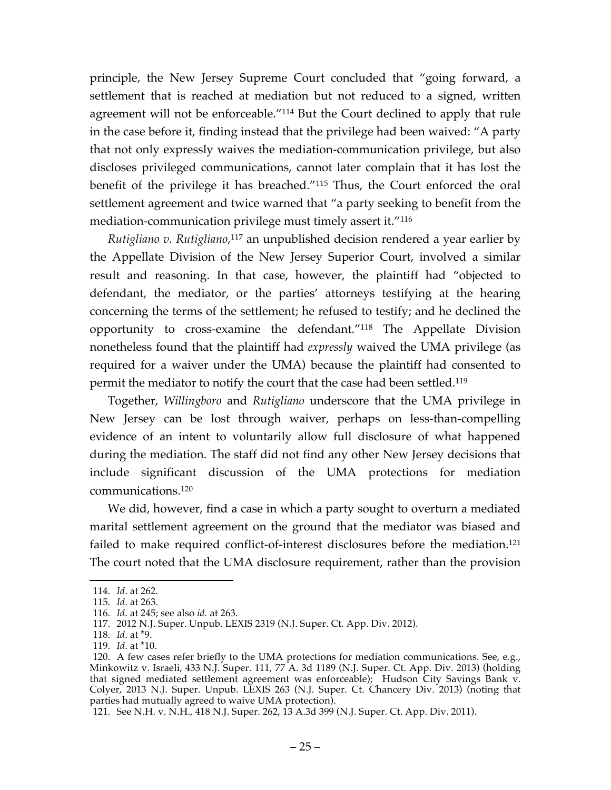principle, the New Jersey Supreme Court concluded that "going forward, a settlement that is reached at mediation but not reduced to a signed, written agreement will not be enforceable."114 But the Court declined to apply that rule in the case before it, finding instead that the privilege had been waived: "A party that not only expressly waives the mediation-communication privilege, but also discloses privileged communications, cannot later complain that it has lost the benefit of the privilege it has breached."115 Thus, the Court enforced the oral settlement agreement and twice warned that "a party seeking to benefit from the mediation-communication privilege must timely assert it."116

*Rutigliano v. Rutigliano*, <sup>117</sup> an unpublished decision rendered a year earlier by the Appellate Division of the New Jersey Superior Court, involved a similar result and reasoning. In that case, however, the plaintiff had "objected to defendant, the mediator, or the parties' attorneys testifying at the hearing concerning the terms of the settlement; he refused to testify; and he declined the opportunity to cross-examine the defendant."118 The Appellate Division nonetheless found that the plaintiff had *expressly* waived the UMA privilege (as required for a waiver under the UMA) because the plaintiff had consented to permit the mediator to notify the court that the case had been settled.119

Together, *Willingboro* and *Rutigliano* underscore that the UMA privilege in New Jersey can be lost through waiver, perhaps on less-than-compelling evidence of an intent to voluntarily allow full disclosure of what happened during the mediation. The staff did not find any other New Jersey decisions that include significant discussion of the UMA protections for mediation communications.120

We did, however, find a case in which a party sought to overturn a mediated marital settlement agreement on the ground that the mediator was biased and failed to make required conflict-of-interest disclosures before the mediation.<sup>121</sup> The court noted that the UMA disclosure requirement, rather than the provision

 <sup>114.</sup> *Id*. at 262.

<sup>115.</sup> *Id*. at 263.

<sup>116.</sup> *Id*. at 245; see also *id.* at 263.

<sup>117.</sup> 2012 N.J. Super. Unpub. LEXIS 2319 (N.J. Super. Ct. App. Div. 2012).

<sup>118.</sup> *Id*. at \*9.

<sup>119.</sup> *Id*. at \*10.

<sup>120.</sup> A few cases refer briefly to the UMA protections for mediation communications. See, e.g., Minkowitz v. Israeli, 433 N.J. Super. 111, 77 A. 3d 1189 (N.J. Super. Ct. App. Div. 2013) (holding that signed mediated settlement agreement was enforceable); Hudson City Savings Bank v. Colyer, 2013 N.J. Super. Unpub. LEXIS 263 (N.J. Super. Ct. Chancery Div. 2013) (noting that parties had mutually agreed to waive UMA protection).

<sup>121.</sup> See N.H. v. N.H., 418 N.J. Super. 262, 13 A.3d 399 (N.J. Super. Ct. App. Div. 2011).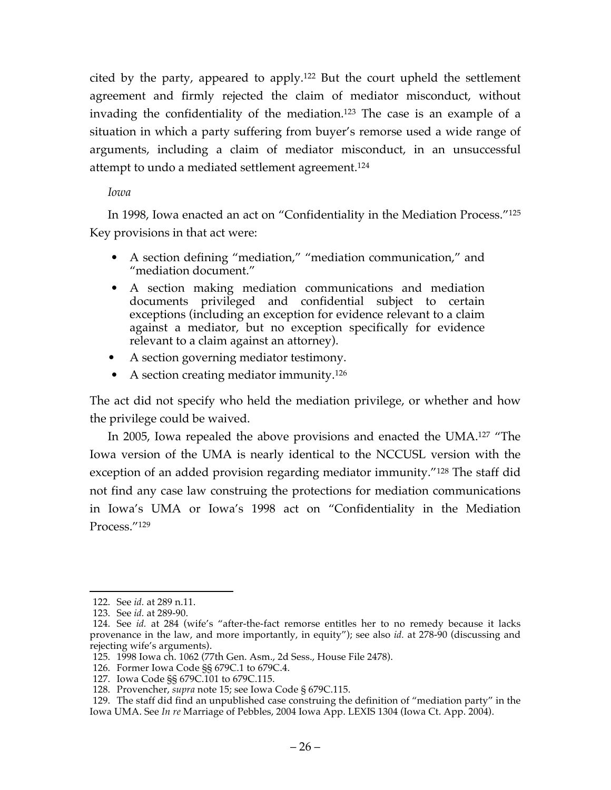cited by the party, appeared to apply.122 But the court upheld the settlement agreement and firmly rejected the claim of mediator misconduct, without invading the confidentiality of the mediation. <sup>123</sup> The case is an example of a situation in which a party suffering from buyer's remorse used a wide range of arguments, including a claim of mediator misconduct, in an unsuccessful attempt to undo a mediated settlement agreement.124

### *Iowa*

In 1998, Iowa enacted an act on "Confidentiality in the Mediation Process."125 Key provisions in that act were:

- A section defining "mediation," "mediation communication," and "mediation document."
- A section making mediation communications and mediation documents privileged and confidential subject to certain exceptions (including an exception for evidence relevant to a claim against a mediator, but no exception specifically for evidence relevant to a claim against an attorney).
- A section governing mediator testimony.
- A section creating mediator immunity.<sup>126</sup>

The act did not specify who held the mediation privilege, or whether and how the privilege could be waived.

In 2005, Iowa repealed the above provisions and enacted the UMA.127 "The Iowa version of the UMA is nearly identical to the NCCUSL version with the exception of an added provision regarding mediator immunity."<sup>128</sup> The staff did not find any case law construing the protections for mediation communications in Iowa's UMA or Iowa's 1998 act on "Confidentiality in the Mediation Process."129

 <sup>122.</sup> See *id.* at 289 n.11.

<sup>123.</sup> See *id.* at 289-90.

<sup>124.</sup> See *id.* at 284 (wife's "after-the-fact remorse entitles her to no remedy because it lacks provenance in the law, and more importantly, in equity"); see also *id.* at 278-90 (discussing and rejecting wife's arguments).

<sup>125.</sup> 1998 Iowa ch. 1062 (77th Gen. Asm., 2d Sess., House File 2478).

<sup>126.</sup> Former Iowa Code §§ 679C.1 to 679C.4.

<sup>127.</sup> Iowa Code §§ 679C.101 to 679C.115.

<sup>128.</sup> Provencher, *supra* note 15; see Iowa Code § 679C.115.

<sup>129.</sup> The staff did find an unpublished case construing the definition of "mediation party" in the Iowa UMA. See *In re* Marriage of Pebbles, 2004 Iowa App. LEXIS 1304 (Iowa Ct. App. 2004).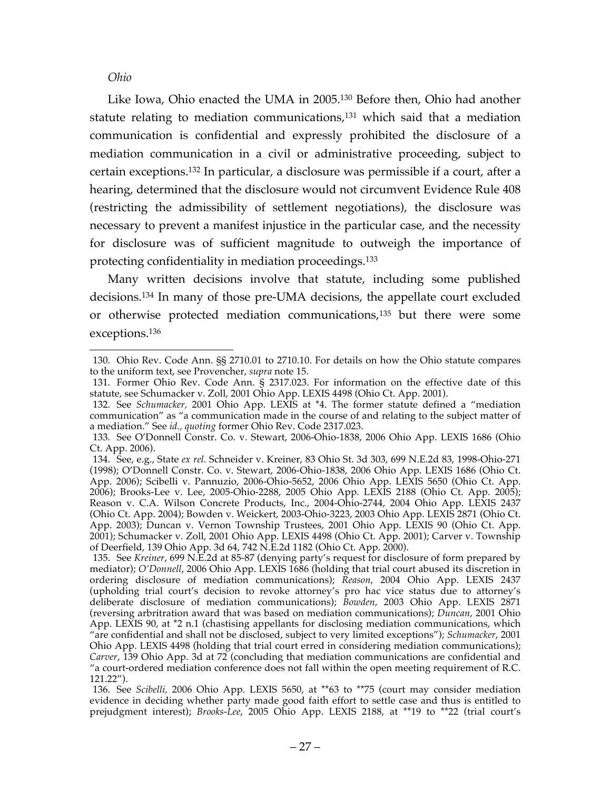#### *Ohio*

Like Iowa, Ohio enacted the UMA in 2005.130 Before then, Ohio had another statute relating to mediation communications, <sup>131</sup> which said that a mediation communication is confidential and expressly prohibited the disclosure of a mediation communication in a civil or administrative proceeding, subject to certain exceptions.132 In particular, a disclosure was permissible if a court, after a hearing, determined that the disclosure would not circumvent Evidence Rule 408 (restricting the admissibility of settlement negotiations), the disclosure was necessary to prevent a manifest injustice in the particular case, and the necessity for disclosure was of sufficient magnitude to outweigh the importance of protecting confidentiality in mediation proceedings.133

Many written decisions involve that statute, including some published decisions.134 In many of those pre-UMA decisions, the appellate court excluded or otherwise protected mediation communications,135 but there were some exceptions.136

 <sup>130.</sup> Ohio Rev. Code Ann. §§ 2710.01 to 2710.10. For details on how the Ohio statute compares to the uniform text, see Provencher, *supra* note 15.

<sup>131.</sup> Former Ohio Rev. Code Ann. § 2317.023. For information on the effective date of this statute, see Schumacker v. Zoll, 2001 Ohio App. LEXIS 4498 (Ohio Ct. App. 2001).

<sup>132.</sup> See *Schumacker,* 2001 Ohio App. LEXIS at \*4. The former statute defined a "mediation communication" as "a communication made in the course of and relating to the subject matter of a mediation." See *id., quoting* former Ohio Rev. Code 2317.023.

<sup>133.</sup> See O'Donnell Constr. Co. v. Stewart, 2006-Ohio-1838, 2006 Ohio App. LEXIS 1686 (Ohio Ct. App. 2006).

<sup>134.</sup> See, e.g., State *ex rel.* Schneider v. Kreiner, 83 Ohio St. 3d 303, 699 N.E.2d 83, 1998-Ohio-271 (1998); O'Donnell Constr. Co. v. Stewart, 2006-Ohio-1838, 2006 Ohio App. LEXIS 1686 (Ohio Ct. App. 2006); Scibelli v. Pannuzio, 2006-Ohio-5652, 2006 Ohio App. LEXIS 5650 (Ohio Ct. App. 2006); Brooks-Lee v. Lee, 2005-Ohio-2288, 2005 Ohio App. LEXIS 2188 (Ohio Ct. App. 2005); Reason v. C.A. Wilson Concrete Products, Inc., 2004-Ohio-2744, 2004 Ohio App. LEXIS 2437 (Ohio Ct. App. 2004); Bowden v. Weickert, 2003-Ohio-3223, 2003 Ohio App. LEXIS 2871 (Ohio Ct. App. 2003); Duncan v. Vernon Township Trustees, 2001 Ohio App. LEXIS 90 (Ohio Ct. App. 2001); Schumacker v. Zoll, 2001 Ohio App. LEXIS 4498 (Ohio Ct. App. 2001); Carver v. Township of Deerfield, 139 Ohio App. 3d 64, 742 N.E.2d 1182 (Ohio Ct. App. 2000).

<sup>135.</sup> See *Kreiner*, 699 N.E.2d at 85-87 (denying party's request for disclosure of form prepared by mediator); *O'Donnell*, 2006 Ohio App. LEXIS 1686 (holding that trial court abused its discretion in ordering disclosure of mediation communications); *Reason*, 2004 Ohio App. LEXIS 2437 (upholding trial court's decision to revoke attorney's pro hac vice status due to attorney's deliberate disclosure of mediation communications); *Bowden*, 2003 Ohio App. LEXIS 2871 (reversing arbritration award that was based on mediation communications); *Duncan*, 2001 Ohio App. LEXIS 90, at \*2 n.1 (chastising appellants for disclosing mediation communications, which "are confidential and shall not be disclosed, subject to very limited exceptions"); *Schumacker*, 2001 Ohio App. LEXIS 4498 (holding that trial court erred in considering mediation communications); *Carver*, 139 Ohio App. 3d at 72 (concluding that mediation communications are confidential and "a court-ordered mediation conference does not fall within the open meeting requirement of R.C. 121.22").

<sup>136.</sup> See *Scibelli,* 2006 Ohio App. LEXIS 5650, at \*\*63 to \*\*75 (court may consider mediation evidence in deciding whether party made good faith effort to settle case and thus is entitled to prejudgment interest); *Brooks-Lee*, 2005 Ohio App. LEXIS 2188, at \*\*19 to \*\*22 (trial court's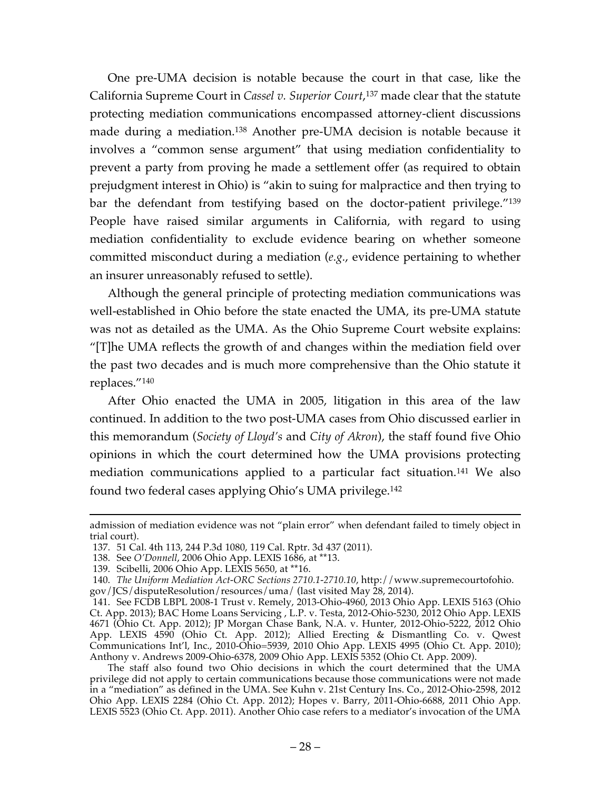One pre-UMA decision is notable because the court in that case, like the California Supreme Court in *Cassel v. Superior Court*, <sup>137</sup> made clear that the statute protecting mediation communications encompassed attorney-client discussions made during a mediation.138 Another pre-UMA decision is notable because it involves a "common sense argument" that using mediation confidentiality to prevent a party from proving he made a settlement offer (as required to obtain prejudgment interest in Ohio) is "akin to suing for malpractice and then trying to bar the defendant from testifying based on the doctor-patient privilege."139 People have raised similar arguments in California, with regard to using mediation confidentiality to exclude evidence bearing on whether someone committed misconduct during a mediation (*e.g.*, evidence pertaining to whether an insurer unreasonably refused to settle).

Although the general principle of protecting mediation communications was well-established in Ohio before the state enacted the UMA, its pre-UMA statute was not as detailed as the UMA. As the Ohio Supreme Court website explains: "[T]he UMA reflects the growth of and changes within the mediation field over the past two decades and is much more comprehensive than the Ohio statute it replaces."140

After Ohio enacted the UMA in 2005, litigation in this area of the law continued. In addition to the two post-UMA cases from Ohio discussed earlier in this memorandum (*Society of Lloyd's* and *City of Akron*), the staff found five Ohio opinions in which the court determined how the UMA provisions protecting mediation communications applied to a particular fact situation.141 We also found two federal cases applying Ohio's UMA privilege. 142

admission of mediation evidence was not "plain error" when defendant failed to timely object in trial court).

<sup>137.</sup> 51 Cal. 4th 113, 244 P.3d 1080, 119 Cal. Rptr. 3d 437 (2011).

<sup>138.</sup> See *O'Donnell*, 2006 Ohio App. LEXIS 1686, at \*\*13.

<sup>139.</sup> Scibelli, 2006 Ohio App. LEXIS 5650, at \*\*16.

<sup>140.</sup> *The Uniform Mediation Act-ORC Sections 2710.1-2710.10*, http://www.supremecourtofohio. gov/JCS/disputeResolution/resources/uma/ (last visited May 28, 2014).

<sup>141.</sup> See FCDB LBPL 2008-1 Trust v. Remely, 2013-Ohio-4960, 2013 Ohio App. LEXIS 5163 (Ohio Ct. App. 2013); BAC Home Loans Servicing , L.P. v. Testa, 2012-Ohio-5230, 2012 Ohio App. LEXIS 4671 (Ohio Ct. App. 2012); JP Morgan Chase Bank, N.A. v. Hunter, 2012-Ohio-5222, 2012 Ohio App. LEXIS 4590 (Ohio Ct. App. 2012); Allied Erecting & Dismantling Co. v. Qwest Communications Int'l, Inc., 2010-Ohio=5939, 2010 Ohio App. LEXIS 4995 (Ohio Ct. App. 2010); Anthony v. Andrews 2009-Ohio-6378, 2009 Ohio App. LEXIS 5352 (Ohio Ct. App. 2009).

The staff also found two Ohio decisions in which the court determined that the UMA privilege did not apply to certain communications because those communications were not made in a "mediation" as defined in the UMA. See Kuhn v. 21st Century Ins. Co., 2012-Ohio-2598, 2012 Ohio App. LEXIS 2284 (Ohio Ct. App. 2012); Hopes v. Barry, 2011-Ohio-6688, 2011 Ohio App. LEXIS 5523 (Ohio Ct. App. 2011). Another Ohio case refers to a mediator's invocation of the UMA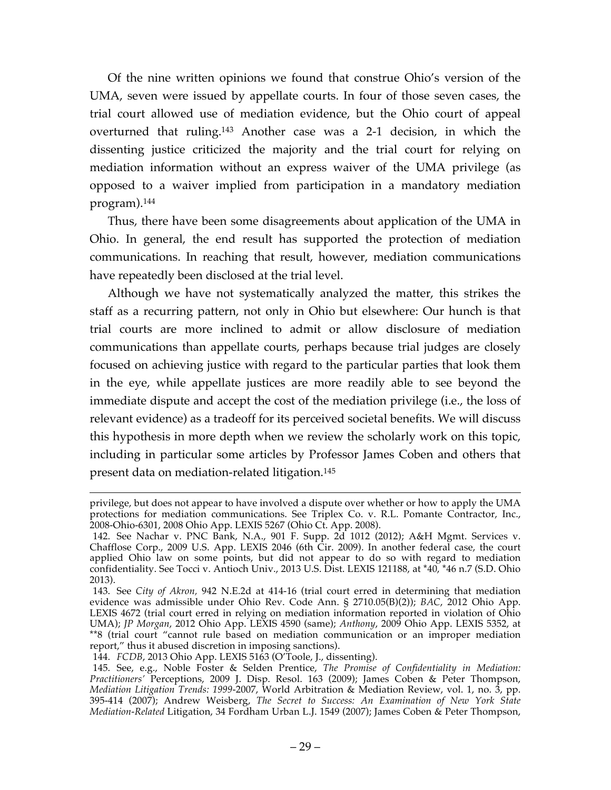Of the nine written opinions we found that construe Ohio's version of the UMA, seven were issued by appellate courts. In four of those seven cases, the trial court allowed use of mediation evidence, but the Ohio court of appeal overturned that ruling.143 Another case was a 2-1 decision, in which the dissenting justice criticized the majority and the trial court for relying on mediation information without an express waiver of the UMA privilege (as opposed to a waiver implied from participation in a mandatory mediation program). 144

Thus, there have been some disagreements about application of the UMA in Ohio. In general, the end result has supported the protection of mediation communications. In reaching that result, however, mediation communications have repeatedly been disclosed at the trial level.

Although we have not systematically analyzed the matter, this strikes the staff as a recurring pattern, not only in Ohio but elsewhere: Our hunch is that trial courts are more inclined to admit or allow disclosure of mediation communications than appellate courts, perhaps because trial judges are closely focused on achieving justice with regard to the particular parties that look them in the eye, while appellate justices are more readily able to see beyond the immediate dispute and accept the cost of the mediation privilege (i.e., the loss of relevant evidence) as a tradeoff for its perceived societal benefits. We will discuss this hypothesis in more depth when we review the scholarly work on this topic, including in particular some articles by Professor James Coben and others that present data on mediation-related litigation.145

privilege, but does not appear to have involved a dispute over whether or how to apply the UMA protections for mediation communications. See Triplex Co. v. R.L. Pomante Contractor, Inc., 2008-Ohio-6301, 2008 Ohio App. LEXIS 5267 (Ohio Ct. App. 2008).

<sup>142.</sup> See Nachar v. PNC Bank, N.A., 901 F. Supp. 2d 1012 (2012); A&H Mgmt. Services v. Chafflose Corp., 2009 U.S. App. LEXIS 2046 (6th Cir. 2009). In another federal case, the court applied Ohio law on some points, but did not appear to do so with regard to mediation confidentiality. See Tocci v. Antioch Univ., 2013 U.S. Dist. LEXIS 121188, at \*40, \*46 n.7 (S.D. Ohio 2013).

<sup>143.</sup> See *City of Akron,* 942 N.E.2d at 414-16 (trial court erred in determining that mediation evidence was admissible under Ohio Rev. Code Ann. § 2710.05(B)(2)); *BAC*, 2012 Ohio App. LEXIS 4672 (trial court erred in relying on mediation information reported in violation of Ohio UMA); *JP Morgan*, 2012 Ohio App. LEXIS 4590 (same); *Anthony*, 2009 Ohio App. LEXIS 5352, at \*\*8 (trial court "cannot rule based on mediation communication or an improper mediation report," thus it abused discretion in imposing sanctions).

<sup>144.</sup> *FCDB*, 2013 Ohio App. LEXIS 5163 (O'Toole, J., dissenting).

<sup>145.</sup> See, e.g., Noble Foster & Selden Prentice, *The Promise of Confidentiality in Mediation: Practitioners'* Perceptions, 2009 J. Disp. Resol. 163 (2009); James Coben & Peter Thompson, *Mediation Litigation Trends: 1999-*2007, World Arbitration & Mediation Review, vol. 1, no. 3, pp. 395-414 (2007); Andrew Weisberg, *The Secret to Success: An Examination of New York State Mediation-Related* Litigation, 34 Fordham Urban L.J. 1549 (2007); James Coben & Peter Thompson,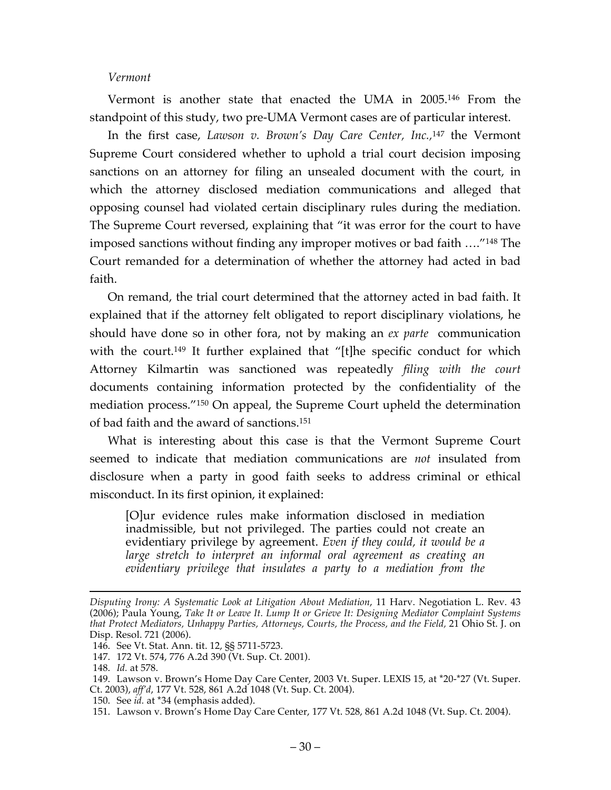### *Vermont*

Vermont is another state that enacted the UMA in 2005.146 From the standpoint of this study, two pre-UMA Vermont cases are of particular interest.

In the first case, *Lawson v. Brown's Day Care Center, Inc.,*<sup>147</sup> the Vermont Supreme Court considered whether to uphold a trial court decision imposing sanctions on an attorney for filing an unsealed document with the court, in which the attorney disclosed mediation communications and alleged that opposing counsel had violated certain disciplinary rules during the mediation. The Supreme Court reversed, explaining that "it was error for the court to have imposed sanctions without finding any improper motives or bad faith …."148 The Court remanded for a determination of whether the attorney had acted in bad faith.

On remand, the trial court determined that the attorney acted in bad faith. It explained that if the attorney felt obligated to report disciplinary violations, he should have done so in other fora, not by making an *ex parte* communication with the court.<sup>149</sup> It further explained that "[t]he specific conduct for which Attorney Kilmartin was sanctioned was repeatedly *filing with the court* documents containing information protected by the confidentiality of the mediation process."150 On appeal, the Supreme Court upheld the determination of bad faith and the award of sanctions. 151

What is interesting about this case is that the Vermont Supreme Court seemed to indicate that mediation communications are *not* insulated from disclosure when a party in good faith seeks to address criminal or ethical misconduct. In its first opinion, it explained:

[O]ur evidence rules make information disclosed in mediation inadmissible, but not privileged. The parties could not create an evidentiary privilege by agreement. *Even if they could, it would be a large stretch to interpret an informal oral agreement as creating an evidentiary privilege that insulates a party to a mediation from the* 

 $\overline{a}$ 

*Disputing Irony: A Systematic Look at Litigation About Mediation*, 11 Harv. Negotiation L. Rev. 43 (2006); Paula Young, *Take It or Leave It. Lump It or Grieve It: Designing Mediator Complaint Systems that Protect Mediators, Unhappy Parties, Attorneys, Courts, the Process, and the Field,* 21 Ohio St. J. on Disp. Resol. 721 (2006).

<sup>146.</sup> See Vt. Stat. Ann. tit. 12, §§ 5711-5723.

<sup>147.</sup> 172 Vt. 574, 776 A.2d 390 (Vt. Sup. Ct. 2001).

<sup>148.</sup> *Id.* at 578.

<sup>149.</sup> Lawson v. Brown's Home Day Care Center, 2003 Vt. Super. LEXIS 15, at \*20-\*27 (Vt. Super. Ct. 2003), *aff'd*, 177 Vt. 528, 861 A.2d 1048 (Vt. Sup. Ct. 2004).

<sup>150.</sup> See *id.* at \*34 (emphasis added).

<sup>151.</sup> Lawson v. Brown's Home Day Care Center, 177 Vt. 528, 861 A.2d 1048 (Vt. Sup. Ct. 2004).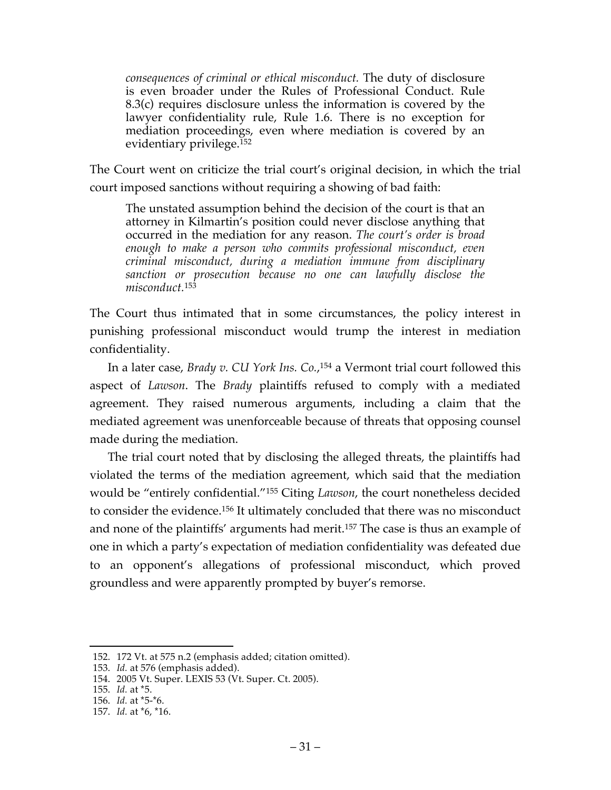*consequences of criminal or ethical misconduct.* The duty of disclosure is even broader under the Rules of Professional Conduct. Rule 8.3(c) requires disclosure unless the information is covered by the lawyer confidentiality rule, Rule 1.6. There is no exception for mediation proceedings, even where mediation is covered by an evidentiary privilege.<sup>152</sup>

The Court went on criticize the trial court's original decision, in which the trial court imposed sanctions without requiring a showing of bad faith:

The unstated assumption behind the decision of the court is that an attorney in Kilmartin's position could never disclose anything that occurred in the mediation for any reason. *The court's order is broad enough to make a person who commits professional misconduct, even criminal misconduct, during a mediation immune from disciplinary sanction or prosecution because no one can lawfully disclose the misconduct.*<sup>153</sup>

The Court thus intimated that in some circumstances, the policy interest in punishing professional misconduct would trump the interest in mediation confidentiality.

In a later case, *Brady v. CU York Ins. Co.*, <sup>154</sup> a Vermont trial court followed this aspect of *Lawson*. The *Brady* plaintiffs refused to comply with a mediated agreement. They raised numerous arguments, including a claim that the mediated agreement was unenforceable because of threats that opposing counsel made during the mediation.

The trial court noted that by disclosing the alleged threats, the plaintiffs had violated the terms of the mediation agreement, which said that the mediation would be "entirely confidential."155 Citing *Lawson*, the court nonetheless decided to consider the evidence.156 It ultimately concluded that there was no misconduct and none of the plaintiffs' arguments had merit.157 The case is thus an example of one in which a party's expectation of mediation confidentiality was defeated due to an opponent's allegations of professional misconduct, which proved groundless and were apparently prompted by buyer's remorse.

 <sup>152.</sup> 172 Vt. at 575 n.2 (emphasis added; citation omitted).

<sup>153.</sup> *Id.* at 576 (emphasis added).

<sup>154.</sup> 2005 Vt. Super. LEXIS 53 (Vt. Super. Ct. 2005).

<sup>155.</sup> *Id.* at \*5.

<sup>156.</sup> *Id.* at \*5-\*6.

<sup>157.</sup> *Id.* at \*6, \*16.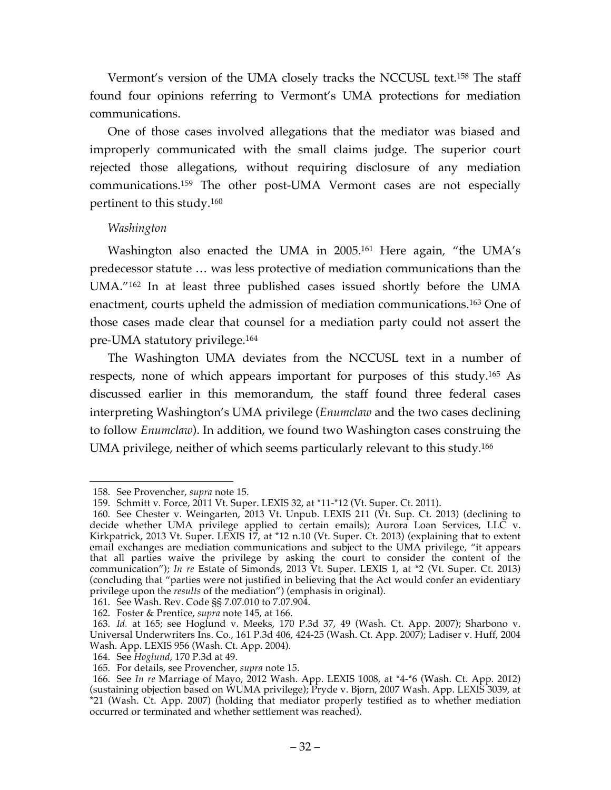Vermont's version of the UMA closely tracks the NCCUSL text.158 The staff found four opinions referring to Vermont's UMA protections for mediation communications.

One of those cases involved allegations that the mediator was biased and improperly communicated with the small claims judge. The superior court rejected those allegations, without requiring disclosure of any mediation communications.159 The other post-UMA Vermont cases are not especially pertinent to this study.160

# *Washington*

Washington also enacted the UMA in 2005.161 Here again, "the UMA's predecessor statute … was less protective of mediation communications than the UMA."162 In at least three published cases issued shortly before the UMA enactment, courts upheld the admission of mediation communications.163 One of those cases made clear that counsel for a mediation party could not assert the pre-UMA statutory privilege.164

The Washington UMA deviates from the NCCUSL text in a number of respects, none of which appears important for purposes of this study.165 As discussed earlier in this memorandum, the staff found three federal cases interpreting Washington's UMA privilege (*Enumclaw* and the two cases declining to follow *Enumclaw*). In addition, we found two Washington cases construing the UMA privilege, neither of which seems particularly relevant to this study.166

 <sup>158.</sup> See Provencher, *supra* note 15.

<sup>159.</sup> Schmitt v. Force, 2011 Vt. Super. LEXIS 32, at \*11-\*12 (Vt. Super. Ct. 2011).

<sup>160.</sup> See Chester v. Weingarten, 2013 Vt. Unpub. LEXIS 211 (Vt. Sup. Ct. 2013) (declining to decide whether UMA privilege applied to certain emails); Aurora Loan Services, LLC v. Kirkpatrick, 2013 Vt. Super. LEXIS 17, at \*12 n.10 (Vt. Super. Ct. 2013) (explaining that to extent email exchanges are mediation communications and subject to the UMA privilege, "it appears that all parties waive the privilege by asking the court to consider the content of the communication"); *In re* Estate of Simonds, 2013 Vt. Super. LEXIS 1, at \*2 (Vt. Super. Ct. 2013) (concluding that "parties were not justified in believing that the Act would confer an evidentiary privilege upon the *results* of the mediation") (emphasis in original).

<sup>161.</sup> See Wash. Rev. Code §§ 7.07.010 to 7.07.904.

<sup>162.</sup> Foster & Prentice, *supra* note 145, at 166.

<sup>163.</sup> *Id.* at 165; see Hoglund v. Meeks, 170 P.3d 37, 49 (Wash. Ct. App. 2007); Sharbono v. Universal Underwriters Ins. Co., 161 P.3d 406, 424-25 (Wash. Ct. App. 2007); Ladiser v. Huff, 2004 Wash. App. LEXIS 956 (Wash. Ct. App. 2004).

<sup>164.</sup> See *Hoglund*, 170 P.3d at 49.

<sup>165.</sup> For details, see Provencher, *supra* note 15.

<sup>166.</sup> See *In re* Marriage of Mayo, 2012 Wash. App. LEXIS 1008, at \*4-\*6 (Wash. Ct. App. 2012) (sustaining objection based on WUMA privilege); Pryde v. Bjorn, 2007 Wash. App. LEXIS 3039, at \*21 (Wash. Ct. App. 2007) (holding that mediator properly testified as to whether mediation occurred or terminated and whether settlement was reached).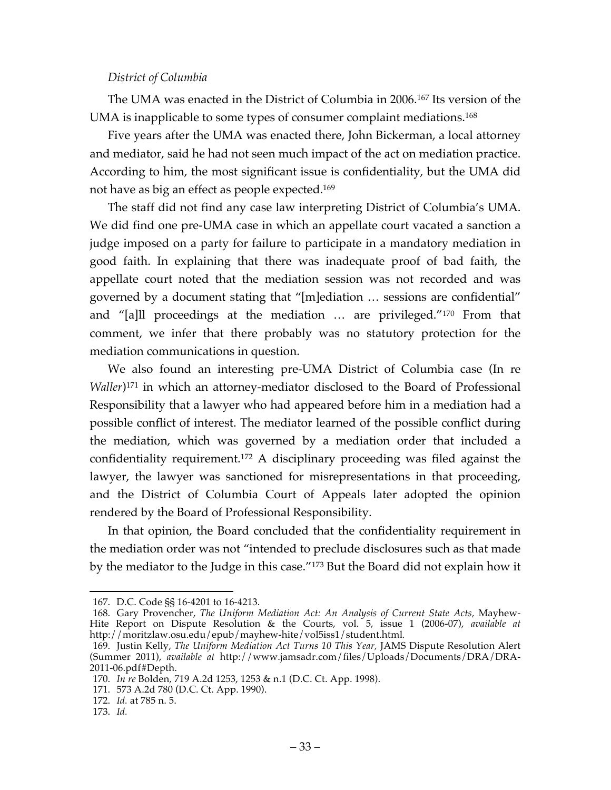#### *District of Columbia*

The UMA was enacted in the District of Columbia in 2006.167 Its version of the UMA is inapplicable to some types of consumer complaint mediations.<sup>168</sup>

Five years after the UMA was enacted there, John Bickerman, a local attorney and mediator, said he had not seen much impact of the act on mediation practice. According to him, the most significant issue is confidentiality, but the UMA did not have as big an effect as people expected.169

The staff did not find any case law interpreting District of Columbia's UMA. We did find one pre-UMA case in which an appellate court vacated a sanction a judge imposed on a party for failure to participate in a mandatory mediation in good faith. In explaining that there was inadequate proof of bad faith, the appellate court noted that the mediation session was not recorded and was governed by a document stating that "[m]ediation … sessions are confidential" and "[a]ll proceedings at the mediation … are privileged."170 From that comment, we infer that there probably was no statutory protection for the mediation communications in question.

We also found an interesting pre-UMA District of Columbia case (In re *Waller*)<sup>171</sup> in which an attorney-mediator disclosed to the Board of Professional Responsibility that a lawyer who had appeared before him in a mediation had a possible conflict of interest. The mediator learned of the possible conflict during the mediation, which was governed by a mediation order that included a confidentiality requirement.172 A disciplinary proceeding was filed against the lawyer, the lawyer was sanctioned for misrepresentations in that proceeding, and the District of Columbia Court of Appeals later adopted the opinion rendered by the Board of Professional Responsibility.

In that opinion, the Board concluded that the confidentiality requirement in the mediation order was not "intended to preclude disclosures such as that made by the mediator to the Judge in this case."173 But the Board did not explain how it

 <sup>167.</sup> D.C. Code §§ 16-4201 to 16-4213.

<sup>168.</sup> Gary Provencher, *The Uniform Mediation Act: An Analysis of Current State Acts,* Mayhew-Hite Report on Dispute Resolution & the Courts, vol. 5, issue 1 (2006-07), *available at*  http://moritzlaw.osu.edu/epub/mayhew-hite/vol5iss1/student.html*.*

<sup>169.</sup> Justin Kelly, *The Uniform Mediation Act Turns 10 This Year,* JAMS Dispute Resolution Alert (Summer 2011), *available at* http://www.jamsadr.com/files/Uploads/Documents/DRA/DRA-2011-06.pdf#Depth.

<sup>170.</sup> *In re* Bolden*,* 719 A.2d 1253, 1253 & n.1 (D.C. Ct. App. 1998).

<sup>171.</sup> 573 A.2d 780 (D.C. Ct. App. 1990).

<sup>172.</sup> *Id.* at 785 n. 5.

<sup>173.</sup> *Id.*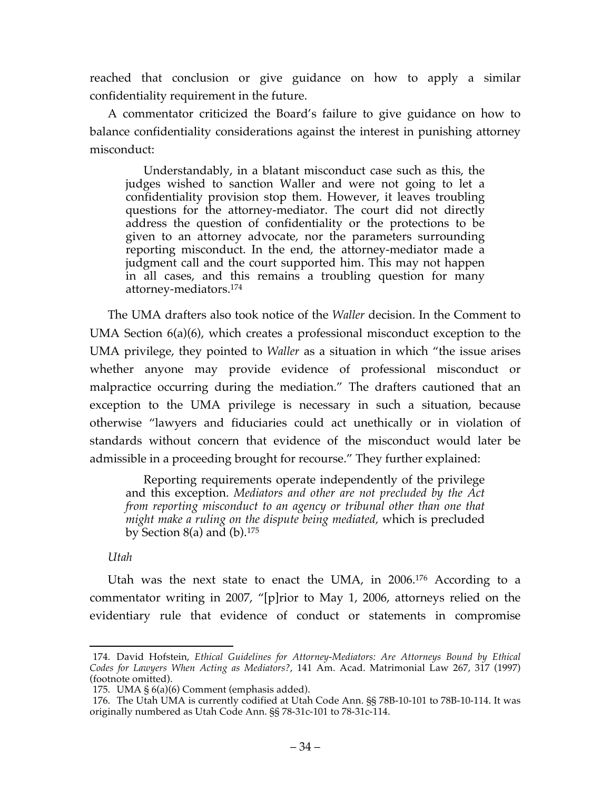reached that conclusion or give guidance on how to apply a similar confidentiality requirement in the future.

A commentator criticized the Board's failure to give guidance on how to balance confidentiality considerations against the interest in punishing attorney misconduct:

Understandably, in a blatant misconduct case such as this, the judges wished to sanction Waller and were not going to let a confidentiality provision stop them. However, it leaves troubling questions for the attorney-mediator. The court did not directly address the question of confidentiality or the protections to be given to an attorney advocate, nor the parameters surrounding reporting misconduct. In the end, the attorney-mediator made a judgment call and the court supported him. This may not happen in all cases, and this remains a troubling question for many attorney-mediators.174

The UMA drafters also took notice of the *Waller* decision. In the Comment to UMA Section 6(a)(6), which creates a professional misconduct exception to the UMA privilege, they pointed to *Waller* as a situation in which "the issue arises whether anyone may provide evidence of professional misconduct or malpractice occurring during the mediation." The drafters cautioned that an exception to the UMA privilege is necessary in such a situation, because otherwise "lawyers and fiduciaries could act unethically or in violation of standards without concern that evidence of the misconduct would later be admissible in a proceeding brought for recourse." They further explained:

Reporting requirements operate independently of the privilege and this exception. *Mediators and other are not precluded by the Act from reporting misconduct to an agency or tribunal other than one that might make a ruling on the dispute being mediated,* which is precluded by Section 8(a) and  $(b)$ .<sup>175</sup>

*Utah*

Utah was the next state to enact the UMA, in 2006.176 According to a commentator writing in 2007, "[p]rior to May 1, 2006, attorneys relied on the evidentiary rule that evidence of conduct or statements in compromise

 <sup>174.</sup> David Hofstein, *Ethical Guidelines for Attorney-Mediators: Are Attorneys Bound by Ethical Codes for Lawyers When Acting as Mediators?*, 141 Am. Acad. Matrimonial Law 267, 317 (1997) (footnote omitted).

<sup>175.</sup> UMA § 6(a)(6) Comment (emphasis added).

<sup>176.</sup> The Utah UMA is currently codified at Utah Code Ann. §§ 78B-10-101 to 78B-10-114. It was originally numbered as Utah Code Ann. §§ 78-31c-101 to 78-31c-114.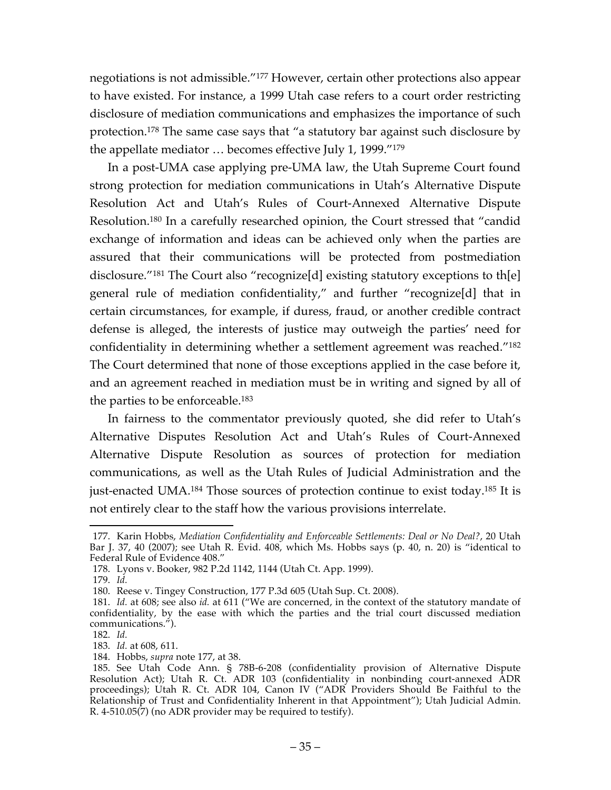negotiations is not admissible."177 However, certain other protections also appear to have existed. For instance, a 1999 Utah case refers to a court order restricting disclosure of mediation communications and emphasizes the importance of such protection.178 The same case says that "a statutory bar against such disclosure by the appellate mediator … becomes effective July 1, 1999."179

In a post-UMA case applying pre-UMA law, the Utah Supreme Court found strong protection for mediation communications in Utah's Alternative Dispute Resolution Act and Utah's Rules of Court-Annexed Alternative Dispute Resolution.180 In a carefully researched opinion, the Court stressed that "candid exchange of information and ideas can be achieved only when the parties are assured that their communications will be protected from postmediation disclosure."181 The Court also "recognize[d] existing statutory exceptions to th[e] general rule of mediation confidentiality," and further "recognize[d] that in certain circumstances, for example, if duress, fraud, or another credible contract defense is alleged, the interests of justice may outweigh the parties' need for confidentiality in determining whether a settlement agreement was reached."182 The Court determined that none of those exceptions applied in the case before it, and an agreement reached in mediation must be in writing and signed by all of the parties to be enforceable.183

In fairness to the commentator previously quoted, she did refer to Utah's Alternative Disputes Resolution Act and Utah's Rules of Court-Annexed Alternative Dispute Resolution as sources of protection for mediation communications, as well as the Utah Rules of Judicial Administration and the just-enacted UMA.184 Those sources of protection continue to exist today.185 It is not entirely clear to the staff how the various provisions interrelate.

 <sup>177.</sup> Karin Hobbs, *Mediation Confidentiality and Enforceable Settlements: Deal or No Deal?*, 20 Utah Bar J. 37, 40 (2007); see Utah R. Evid. 408, which Ms. Hobbs says (p. 40, n. 20) is "identical to Federal Rule of Evidence 408."

<sup>178.</sup> Lyons v. Booker, 982 P.2d 1142, 1144 (Utah Ct. App. 1999).

<sup>179.</sup> *Id.*

<sup>180.</sup> Reese v. Tingey Construction, 177 P.3d 605 (Utah Sup. Ct. 2008).

<sup>181.</sup> *Id.* at 608; see also *id.* at 611 ("We are concerned, in the context of the statutory mandate of confidentiality, by the ease with which the parties and the trial court discussed mediation communications.").

<sup>182.</sup> *Id.*

<sup>183.</sup> *Id.* at 608, 611.

<sup>184.</sup> Hobbs, *supra* note 177, at 38.

<sup>185.</sup> See Utah Code Ann. § 78B-6-208 (confidentiality provision of Alternative Dispute Resolution Act); Utah R. Ct. ADR 103 (confidentiality in nonbinding court-annexed ADR proceedings); Utah R. Ct. ADR 104, Canon IV ("ADR Providers Should Be Faithful to the Relationship of Trust and Confidentiality Inherent in that Appointment"); Utah Judicial Admin. R. 4-510.05(7) (no ADR provider may be required to testify).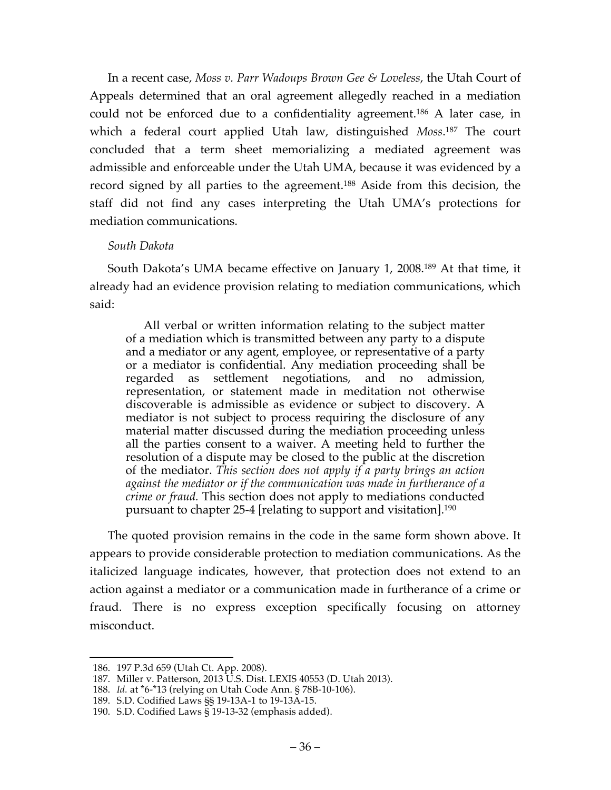In a recent case, *Moss v. Parr Wadoups Brown Gee & Loveless*, the Utah Court of Appeals determined that an oral agreement allegedly reached in a mediation could not be enforced due to a confidentiality agreement.186 A later case, in which a federal court applied Utah law, distinguished *Moss*. <sup>187</sup> The court concluded that a term sheet memorializing a mediated agreement was admissible and enforceable under the Utah UMA, because it was evidenced by a record signed by all parties to the agreement.188 Aside from this decision, the staff did not find any cases interpreting the Utah UMA's protections for mediation communications.

# *South Dakota*

South Dakota's UMA became effective on January 1, 2008.189 At that time, it already had an evidence provision relating to mediation communications, which said:

All verbal or written information relating to the subject matter of a mediation which is transmitted between any party to a dispute and a mediator or any agent, employee, or representative of a party or a mediator is confidential. Any mediation proceeding shall be regarded as settlement negotiations, and no admission, representation, or statement made in meditation not otherwise discoverable is admissible as evidence or subject to discovery. A mediator is not subject to process requiring the disclosure of any material matter discussed during the mediation proceeding unless all the parties consent to a waiver. A meeting held to further the resolution of a dispute may be closed to the public at the discretion of the mediator. *This section does not apply if a party brings an action against the mediator or if the communication was made in furtherance of a crime or fraud.* This section does not apply to mediations conducted pursuant to chapter 25-4 [relating to support and visitation].190

The quoted provision remains in the code in the same form shown above. It appears to provide considerable protection to mediation communications. As the italicized language indicates, however, that protection does not extend to an action against a mediator or a communication made in furtherance of a crime or fraud. There is no express exception specifically focusing on attorney misconduct.

 <sup>186.</sup> 197 P.3d 659 (Utah Ct. App. 2008).

<sup>187.</sup> Miller v. Patterson, 2013 U.S. Dist. LEXIS 40553 (D. Utah 2013).

<sup>188.</sup> *Id.* at \*6-\*13 (relying on Utah Code Ann. § 78B-10-106).

<sup>189.</sup> S.D. Codified Laws §§ 19-13A-1 to 19-13A-15.

<sup>190.</sup> S.D. Codified Laws § 19-13-32 (emphasis added).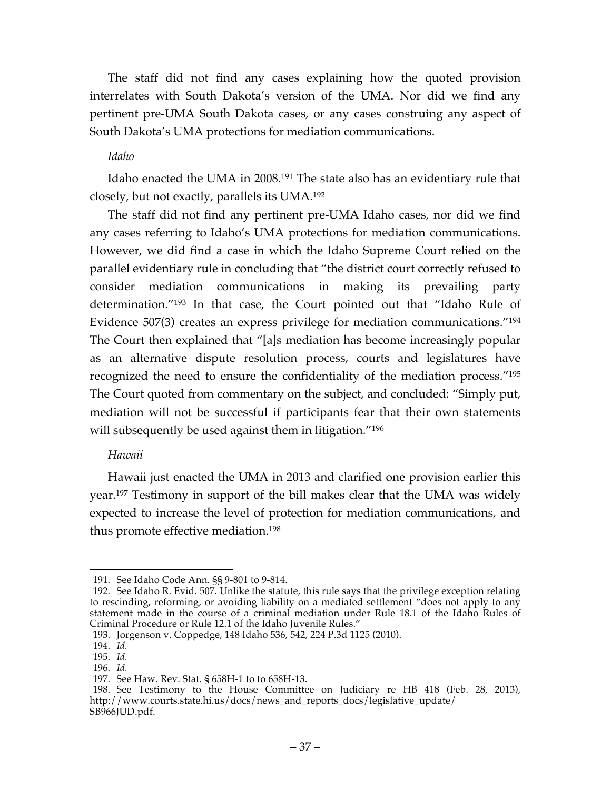The staff did not find any cases explaining how the quoted provision interrelates with South Dakota's version of the UMA. Nor did we find any pertinent pre-UMA South Dakota cases, or any cases construing any aspect of South Dakota's UMA protections for mediation communications.

### *Idaho*

Idaho enacted the UMA in 2008.191 The state also has an evidentiary rule that closely, but not exactly, parallels its UMA.192

The staff did not find any pertinent pre-UMA Idaho cases, nor did we find any cases referring to Idaho's UMA protections for mediation communications. However, we did find a case in which the Idaho Supreme Court relied on the parallel evidentiary rule in concluding that "the district court correctly refused to consider mediation communications in making its prevailing party determination."193 In that case, the Court pointed out that "Idaho Rule of Evidence 507(3) creates an express privilege for mediation communications."194 The Court then explained that "[a]s mediation has become increasingly popular as an alternative dispute resolution process, courts and legislatures have recognized the need to ensure the confidentiality of the mediation process."195 The Court quoted from commentary on the subject, and concluded: "Simply put, mediation will not be successful if participants fear that their own statements will subsequently be used against them in litigation."<sup>196</sup>

### *Hawaii*

Hawaii just enacted the UMA in 2013 and clarified one provision earlier this year.197 Testimony in support of the bill makes clear that the UMA was widely expected to increase the level of protection for mediation communications, and thus promote effective mediation.198

 <sup>191.</sup> See Idaho Code Ann. §§ 9-801 to 9-814.

<sup>192.</sup> See Idaho R. Evid. 507. Unlike the statute, this rule says that the privilege exception relating to rescinding, reforming, or avoiding liability on a mediated settlement "does not apply to any statement made in the course of a criminal mediation under Rule 18.1 of the Idaho Rules of Criminal Procedure or Rule 12.1 of the Idaho Juvenile Rules."

<sup>193.</sup> Jorgenson v. Coppedge, 148 Idaho 536, 542, 224 P.3d 1125 (2010).

<sup>194.</sup> *Id.*

<sup>195.</sup> *Id.*

<sup>196.</sup> *Id.*

<sup>197.</sup> See Haw. Rev. Stat. § 658H-1 to to 658H-13.

<sup>198.</sup> See Testimony to the House Committee on Judiciary re HB 418 (Feb. 28, 2013), http://www.courts.state.hi.us/docs/news\_and\_reports\_docs/legislative\_update/ SB966JUD.pdf.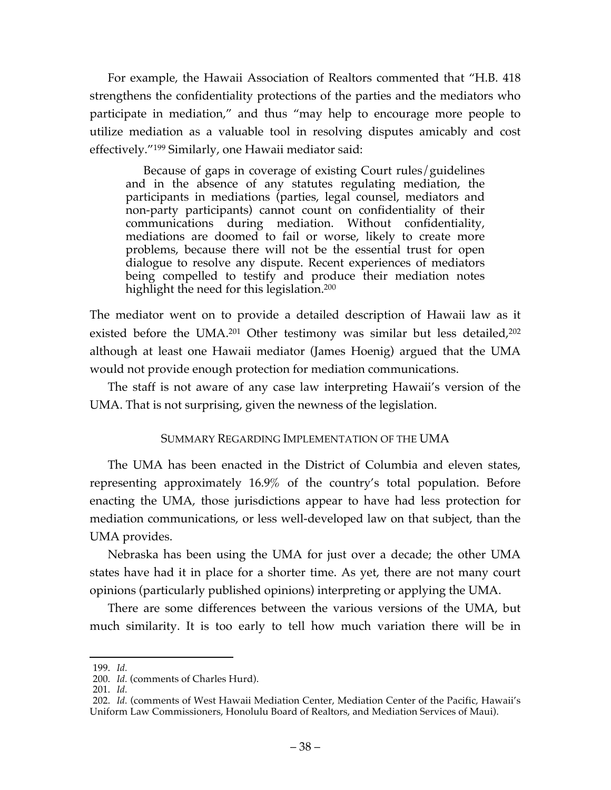For example, the Hawaii Association of Realtors commented that "H.B. 418 strengthens the confidentiality protections of the parties and the mediators who participate in mediation," and thus "may help to encourage more people to utilize mediation as a valuable tool in resolving disputes amicably and cost effectively."199 Similarly, one Hawaii mediator said:

Because of gaps in coverage of existing Court rules/guidelines and in the absence of any statutes regulating mediation, the participants in mediations (parties, legal counsel, mediators and non-party participants) cannot count on confidentiality of their communications during mediation. Without confidentiality, mediations are doomed to fail or worse, likely to create more problems, because there will not be the essential trust for open dialogue to resolve any dispute. Recent experiences of mediators being compelled to testify and produce their mediation notes highlight the need for this legislation.<sup>200</sup>

The mediator went on to provide a detailed description of Hawaii law as it existed before the UMA.201 Other testimony was similar but less detailed, 202 although at least one Hawaii mediator (James Hoenig) argued that the UMA would not provide enough protection for mediation communications.

The staff is not aware of any case law interpreting Hawaii's version of the UMA. That is not surprising, given the newness of the legislation.

# SUMMARY REGARDING IMPLEMENTATION OF THE UMA

The UMA has been enacted in the District of Columbia and eleven states, representing approximately 16.9% of the country's total population. Before enacting the UMA, those jurisdictions appear to have had less protection for mediation communications, or less well-developed law on that subject, than the UMA provides.

Nebraska has been using the UMA for just over a decade; the other UMA states have had it in place for a shorter time. As yet, there are not many court opinions (particularly published opinions) interpreting or applying the UMA.

There are some differences between the various versions of the UMA, but much similarity. It is too early to tell how much variation there will be in

 <sup>199.</sup> *Id.*

<sup>200.</sup> *Id.* (comments of Charles Hurd).

<sup>201.</sup> *Id.*

<sup>202.</sup> *Id.* (comments of West Hawaii Mediation Center, Mediation Center of the Pacific, Hawaii's Uniform Law Commissioners, Honolulu Board of Realtors, and Mediation Services of Maui).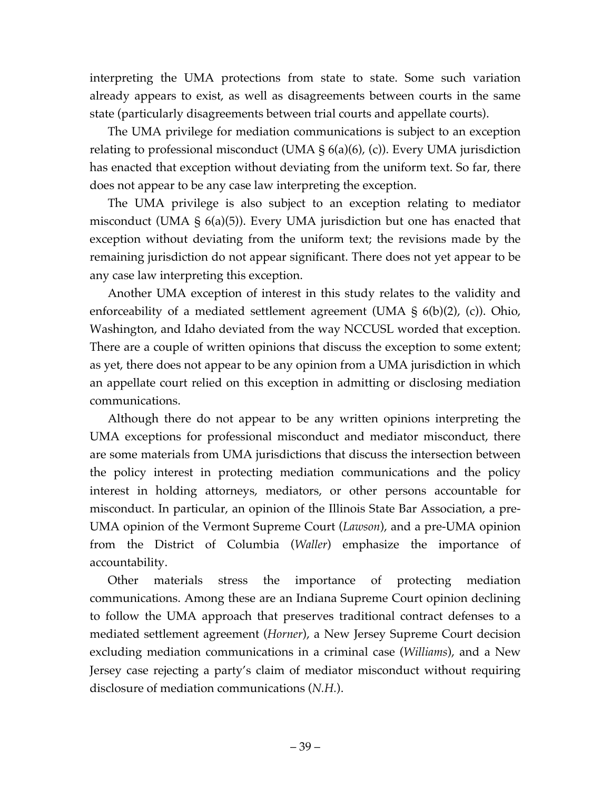interpreting the UMA protections from state to state. Some such variation already appears to exist, as well as disagreements between courts in the same state (particularly disagreements between trial courts and appellate courts).

The UMA privilege for mediation communications is subject to an exception relating to professional misconduct (UMA  $\S$  6(a)(6), (c)). Every UMA jurisdiction has enacted that exception without deviating from the uniform text. So far, there does not appear to be any case law interpreting the exception.

The UMA privilege is also subject to an exception relating to mediator misconduct (UMA § 6(a)(5)). Every UMA jurisdiction but one has enacted that exception without deviating from the uniform text; the revisions made by the remaining jurisdiction do not appear significant. There does not yet appear to be any case law interpreting this exception.

Another UMA exception of interest in this study relates to the validity and enforceability of a mediated settlement agreement (UMA § 6(b)(2), (c)). Ohio, Washington, and Idaho deviated from the way NCCUSL worded that exception. There are a couple of written opinions that discuss the exception to some extent; as yet, there does not appear to be any opinion from a UMA jurisdiction in which an appellate court relied on this exception in admitting or disclosing mediation communications.

Although there do not appear to be any written opinions interpreting the UMA exceptions for professional misconduct and mediator misconduct, there are some materials from UMA jurisdictions that discuss the intersection between the policy interest in protecting mediation communications and the policy interest in holding attorneys, mediators, or other persons accountable for misconduct. In particular, an opinion of the Illinois State Bar Association, a pre-UMA opinion of the Vermont Supreme Court (*Lawson*), and a pre-UMA opinion from the District of Columbia (*Waller*) emphasize the importance of accountability.

Other materials stress the importance of protecting mediation communications. Among these are an Indiana Supreme Court opinion declining to follow the UMA approach that preserves traditional contract defenses to a mediated settlement agreement (*Horner*), a New Jersey Supreme Court decision excluding mediation communications in a criminal case (*Williams*), and a New Jersey case rejecting a party's claim of mediator misconduct without requiring disclosure of mediation communications (*N.H.*).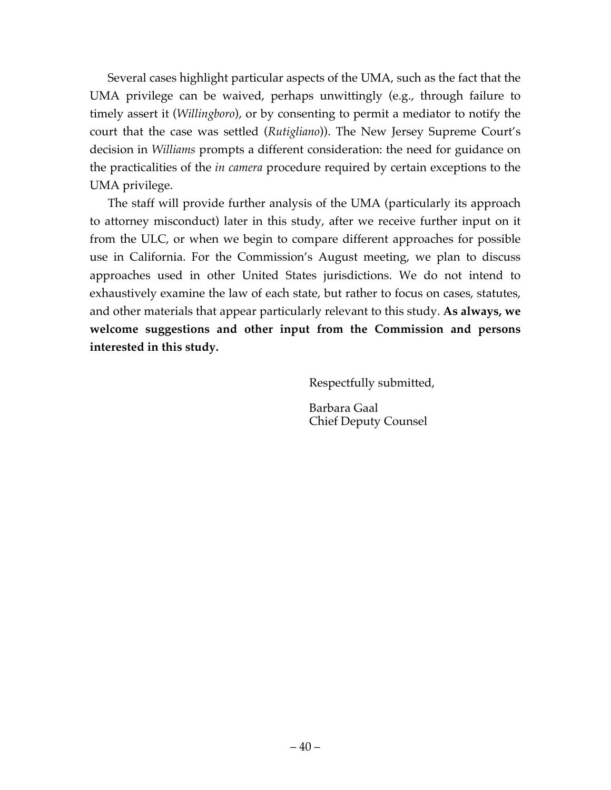Several cases highlight particular aspects of the UMA, such as the fact that the UMA privilege can be waived, perhaps unwittingly (e.g., through failure to timely assert it (*Willingboro*), or by consenting to permit a mediator to notify the court that the case was settled (*Rutigliano*)). The New Jersey Supreme Court's decision in *Williams* prompts a different consideration: the need for guidance on the practicalities of the *in camera* procedure required by certain exceptions to the UMA privilege.

The staff will provide further analysis of the UMA (particularly its approach to attorney misconduct) later in this study, after we receive further input on it from the ULC, or when we begin to compare different approaches for possible use in California. For the Commission's August meeting, we plan to discuss approaches used in other United States jurisdictions. We do not intend to exhaustively examine the law of each state, but rather to focus on cases, statutes, and other materials that appear particularly relevant to this study. **As always, we welcome suggestions and other input from the Commission and persons interested in this study.**

Respectfully submitted,

Barbara Gaal Chief Deputy Counsel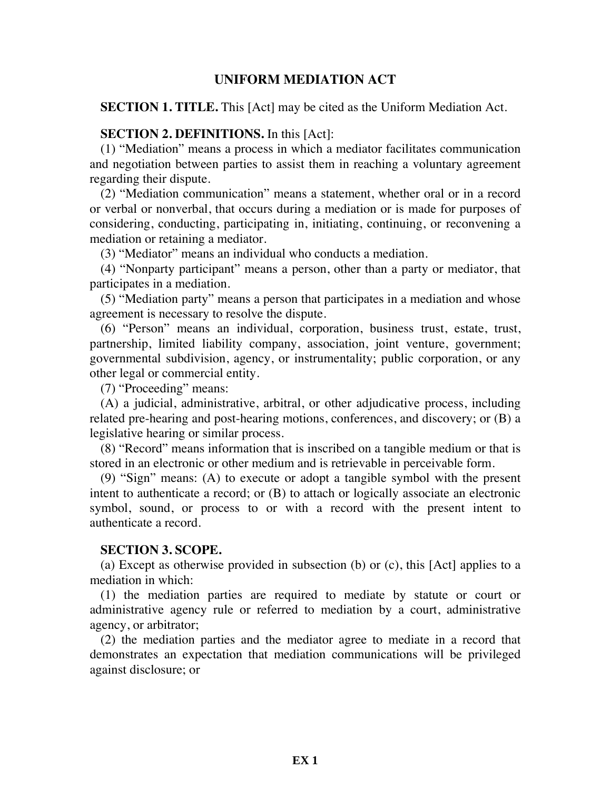### **UNIFORM MEDIATION ACT**

**SECTION 1. TITLE.** This [Act] may be cited as the Uniform Mediation Act.

### **SECTION 2. DEFINITIONS.** In this [Act]:

(1) "Mediation" means a process in which a mediator facilitates communication and negotiation between parties to assist them in reaching a voluntary agreement regarding their dispute.

(2) "Mediation communication" means a statement, whether oral or in a record or verbal or nonverbal, that occurs during a mediation or is made for purposes of considering, conducting, participating in, initiating, continuing, or reconvening a mediation or retaining a mediator.

(3) "Mediator" means an individual who conducts a mediation.

(4) "Nonparty participant" means a person, other than a party or mediator, that participates in a mediation.

(5) "Mediation party" means a person that participates in a mediation and whose agreement is necessary to resolve the dispute.

(6) "Person" means an individual, corporation, business trust, estate, trust, partnership, limited liability company, association, joint venture, government; governmental subdivision, agency, or instrumentality; public corporation, or any other legal or commercial entity.

(7) "Proceeding" means:

(A) a judicial, administrative, arbitral, or other adjudicative process, including related pre-hearing and post-hearing motions, conferences, and discovery; or (B) a legislative hearing or similar process.

(8) "Record" means information that is inscribed on a tangible medium or that is stored in an electronic or other medium and is retrievable in perceivable form.

(9) "Sign" means: (A) to execute or adopt a tangible symbol with the present intent to authenticate a record; or (B) to attach or logically associate an electronic symbol, sound, or process to or with a record with the present intent to authenticate a record.

### **SECTION 3. SCOPE.**

(a) Except as otherwise provided in subsection (b) or (c), this [Act] applies to a mediation in which:

(1) the mediation parties are required to mediate by statute or court or administrative agency rule or referred to mediation by a court, administrative agency, or arbitrator;

(2) the mediation parties and the mediator agree to mediate in a record that demonstrates an expectation that mediation communications will be privileged against disclosure; or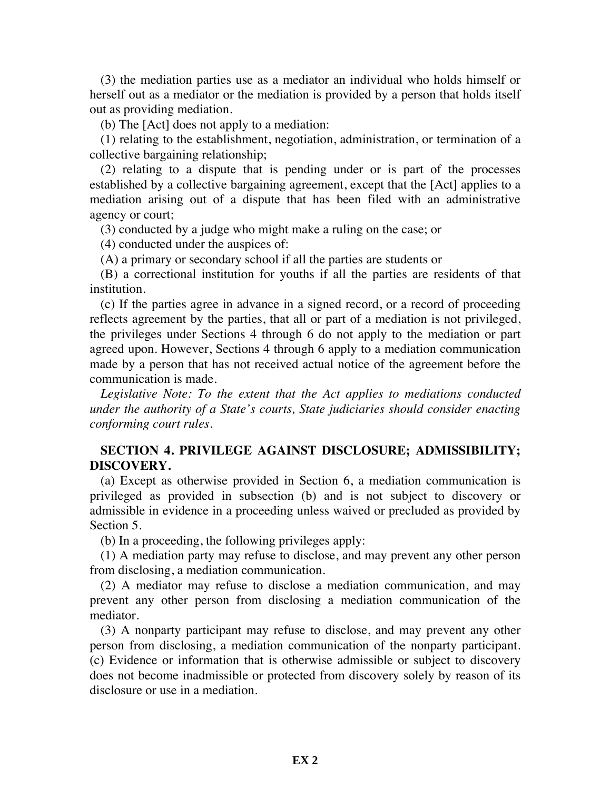(3) the mediation parties use as a mediator an individual who holds himself or herself out as a mediator or the mediation is provided by a person that holds itself out as providing mediation.

(b) The [Act] does not apply to a mediation:

(1) relating to the establishment, negotiation, administration, or termination of a collective bargaining relationship;

(2) relating to a dispute that is pending under or is part of the processes established by a collective bargaining agreement, except that the [Act] applies to a mediation arising out of a dispute that has been filed with an administrative agency or court;

(3) conducted by a judge who might make a ruling on the case; or

(4) conducted under the auspices of:

(A) a primary or secondary school if all the parties are students or

(B) a correctional institution for youths if all the parties are residents of that institution.

(c) If the parties agree in advance in a signed record, or a record of proceeding reflects agreement by the parties, that all or part of a mediation is not privileged, the privileges under Sections 4 through 6 do not apply to the mediation or part agreed upon. However, Sections 4 through 6 apply to a mediation communication made by a person that has not received actual notice of the agreement before the communication is made.

*Legislative Note: To the extent that the Act applies to mediations conducted under the authority of a State's courts, State judiciaries should consider enacting conforming court rules.*

# **SECTION 4. PRIVILEGE AGAINST DISCLOSURE; ADMISSIBILITY; DISCOVERY.**

(a) Except as otherwise provided in Section 6, a mediation communication is privileged as provided in subsection (b) and is not subject to discovery or admissible in evidence in a proceeding unless waived or precluded as provided by Section 5.

(b) In a proceeding, the following privileges apply:

(1) A mediation party may refuse to disclose, and may prevent any other person from disclosing, a mediation communication.

(2) A mediator may refuse to disclose a mediation communication, and may prevent any other person from disclosing a mediation communication of the mediator.

(3) A nonparty participant may refuse to disclose, and may prevent any other person from disclosing, a mediation communication of the nonparty participant. (c) Evidence or information that is otherwise admissible or subject to discovery does not become inadmissible or protected from discovery solely by reason of its disclosure or use in a mediation.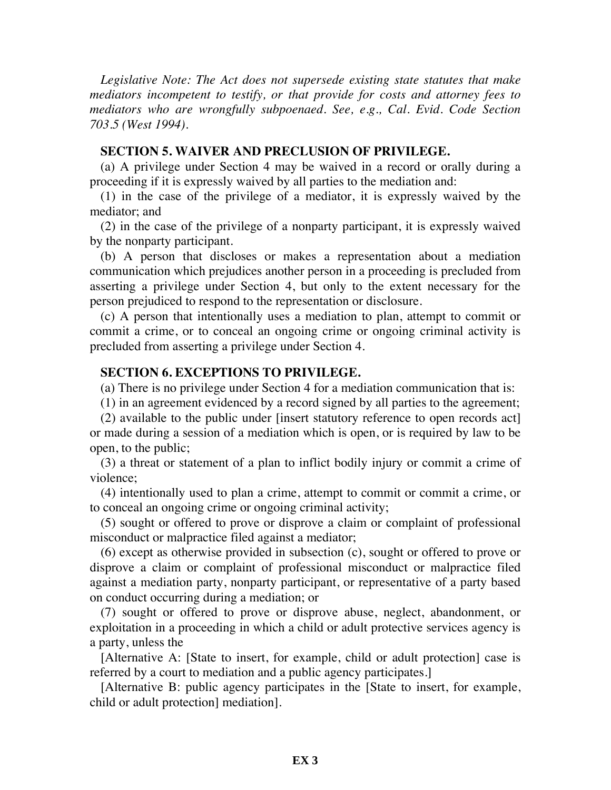*Legislative Note: The Act does not supersede existing state statutes that make mediators incompetent to testify, or that provide for costs and attorney fees to mediators who are wrongfully subpoenaed. See, e.g., Cal. Evid. Code Section 703.5 (West 1994).*

#### **SECTION 5. WAIVER AND PRECLUSION OF PRIVILEGE.**

(a) A privilege under Section 4 may be waived in a record or orally during a proceeding if it is expressly waived by all parties to the mediation and:

(1) in the case of the privilege of a mediator, it is expressly waived by the mediator; and

(2) in the case of the privilege of a nonparty participant, it is expressly waived by the nonparty participant.

(b) A person that discloses or makes a representation about a mediation communication which prejudices another person in a proceeding is precluded from asserting a privilege under Section 4, but only to the extent necessary for the person prejudiced to respond to the representation or disclosure.

(c) A person that intentionally uses a mediation to plan, attempt to commit or commit a crime, or to conceal an ongoing crime or ongoing criminal activity is precluded from asserting a privilege under Section 4.

### **SECTION 6. EXCEPTIONS TO PRIVILEGE.**

(a) There is no privilege under Section 4 for a mediation communication that is:

(1) in an agreement evidenced by a record signed by all parties to the agreement;

(2) available to the public under [insert statutory reference to open records act] or made during a session of a mediation which is open, or is required by law to be open, to the public;

(3) a threat or statement of a plan to inflict bodily injury or commit a crime of violence;

(4) intentionally used to plan a crime, attempt to commit or commit a crime, or to conceal an ongoing crime or ongoing criminal activity;

(5) sought or offered to prove or disprove a claim or complaint of professional misconduct or malpractice filed against a mediator;

(6) except as otherwise provided in subsection (c), sought or offered to prove or disprove a claim or complaint of professional misconduct or malpractice filed against a mediation party, nonparty participant, or representative of a party based on conduct occurring during a mediation; or

(7) sought or offered to prove or disprove abuse, neglect, abandonment, or exploitation in a proceeding in which a child or adult protective services agency is a party, unless the

[Alternative A: [State to insert, for example, child or adult protection] case is referred by a court to mediation and a public agency participates.]

[Alternative B: public agency participates in the [State to insert, for example, child or adult protection] mediation].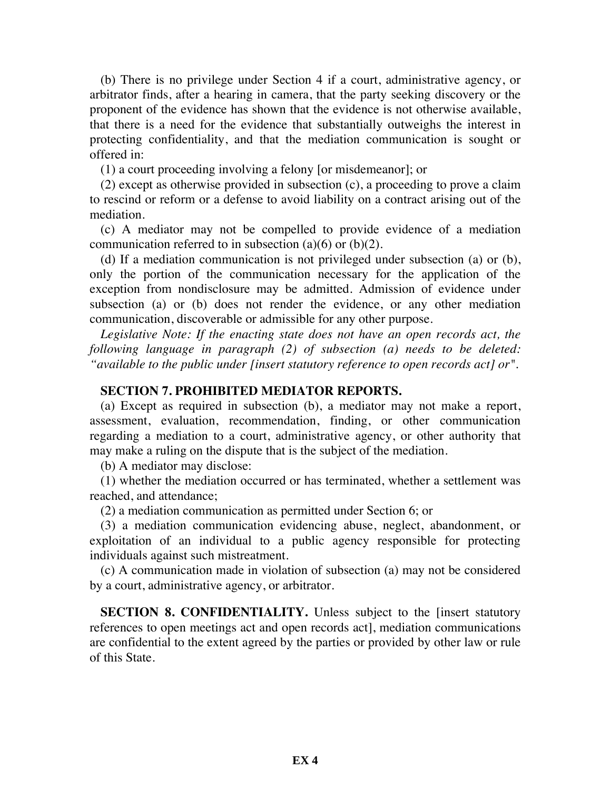(b) There is no privilege under Section 4 if a court, administrative agency, or arbitrator finds, after a hearing in camera, that the party seeking discovery or the proponent of the evidence has shown that the evidence is not otherwise available, that there is a need for the evidence that substantially outweighs the interest in protecting confidentiality, and that the mediation communication is sought or offered in:

(1) a court proceeding involving a felony [or misdemeanor]; or

(2) except as otherwise provided in subsection (c), a proceeding to prove a claim to rescind or reform or a defense to avoid liability on a contract arising out of the mediation.

(c) A mediator may not be compelled to provide evidence of a mediation communication referred to in subsection  $(a)(6)$  or  $(b)(2)$ .

(d) If a mediation communication is not privileged under subsection (a) or (b), only the portion of the communication necessary for the application of the exception from nondisclosure may be admitted. Admission of evidence under subsection (a) or (b) does not render the evidence, or any other mediation communication, discoverable or admissible for any other purpose.

*Legislative Note: If the enacting state does not have an open records act, the following language in paragraph (2) of subsection (a) needs to be deleted: "available to the public under [insert statutory reference to open records act] or".*

### **SECTION 7. PROHIBITED MEDIATOR REPORTS.**

(a) Except as required in subsection (b), a mediator may not make a report, assessment, evaluation, recommendation, finding, or other communication regarding a mediation to a court, administrative agency, or other authority that may make a ruling on the dispute that is the subject of the mediation.

(b) A mediator may disclose:

(1) whether the mediation occurred or has terminated, whether a settlement was reached, and attendance;

(2) a mediation communication as permitted under Section 6; or

(3) a mediation communication evidencing abuse, neglect, abandonment, or exploitation of an individual to a public agency responsible for protecting individuals against such mistreatment.

(c) A communication made in violation of subsection (a) may not be considered by a court, administrative agency, or arbitrator.

**SECTION 8. CONFIDENTIALITY.** Unless subject to the [insert statutory references to open meetings act and open records act], mediation communications are confidential to the extent agreed by the parties or provided by other law or rule of this State.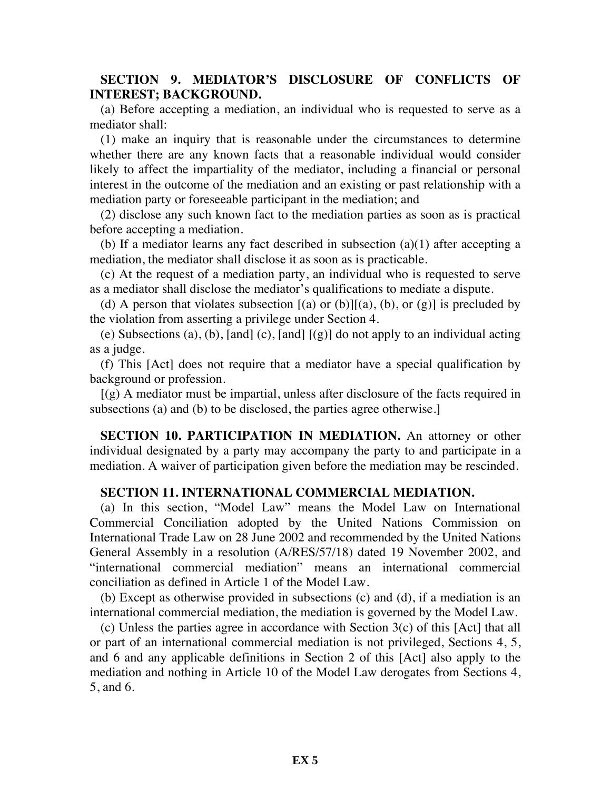# **SECTION 9. MEDIATOR'S DISCLOSURE OF CONFLICTS OF INTEREST; BACKGROUND.**

(a) Before accepting a mediation, an individual who is requested to serve as a mediator shall:

(1) make an inquiry that is reasonable under the circumstances to determine whether there are any known facts that a reasonable individual would consider likely to affect the impartiality of the mediator, including a financial or personal interest in the outcome of the mediation and an existing or past relationship with a mediation party or foreseeable participant in the mediation; and

(2) disclose any such known fact to the mediation parties as soon as is practical before accepting a mediation.

(b) If a mediator learns any fact described in subsection (a)(1) after accepting a mediation, the mediator shall disclose it as soon as is practicable.

(c) At the request of a mediation party, an individual who is requested to serve as a mediator shall disclose the mediator's qualifications to mediate a dispute.

(d) A person that violates subsection  $[(a)$  or  $(b)][(a), (b),$  or  $(g)]$  is precluded by the violation from asserting a privilege under Section 4.

(e) Subsections (a), (b), [and] (c), [and]  $[(g)]$  do not apply to an individual acting as a judge.

(f) This [Act] does not require that a mediator have a special qualification by background or profession.

 $[(g)$  A mediator must be impartial, unless after disclosure of the facts required in subsections (a) and (b) to be disclosed, the parties agree otherwise.]

**SECTION 10. PARTICIPATION IN MEDIATION.** An attorney or other individual designated by a party may accompany the party to and participate in a mediation. A waiver of participation given before the mediation may be rescinded.

### **SECTION 11. INTERNATIONAL COMMERCIAL MEDIATION.**

(a) In this section, "Model Law" means the Model Law on International Commercial Conciliation adopted by the United Nations Commission on International Trade Law on 28 June 2002 and recommended by the United Nations General Assembly in a resolution (A/RES/57/18) dated 19 November 2002, and "international commercial mediation" means an international commercial conciliation as defined in Article 1 of the Model Law.

(b) Except as otherwise provided in subsections (c) and (d), if a mediation is an international commercial mediation, the mediation is governed by the Model Law.

(c) Unless the parties agree in accordance with Section 3(c) of this [Act] that all or part of an international commercial mediation is not privileged, Sections 4, 5, and 6 and any applicable definitions in Section 2 of this [Act] also apply to the mediation and nothing in Article 10 of the Model Law derogates from Sections 4, 5, and 6.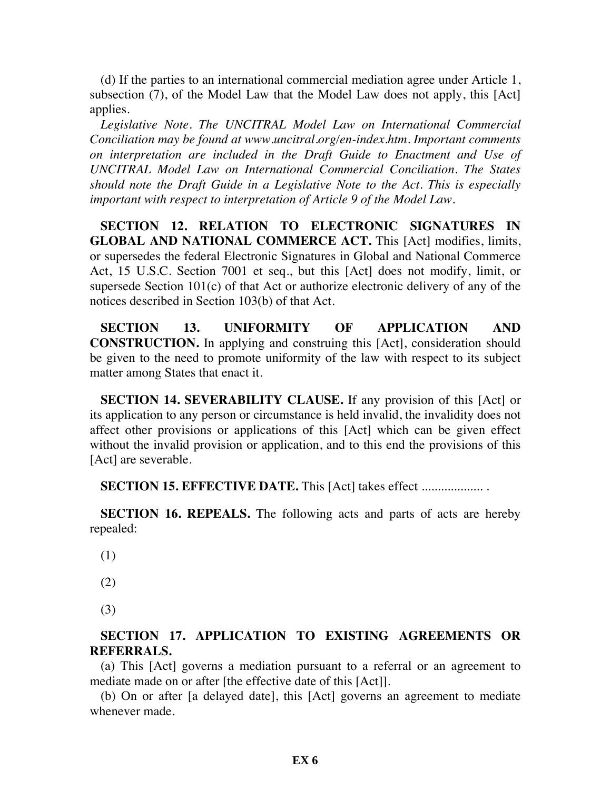(d) If the parties to an international commercial mediation agree under Article 1, subsection (7), of the Model Law that the Model Law does not apply, this [Act] applies.

*Legislative Note. The UNCITRAL Model Law on International Commercial Conciliation may be found at www.uncitral.org/en-index.htm. Important comments on interpretation are included in the Draft Guide to Enactment and Use of UNCITRAL Model Law on International Commercial Conciliation. The States should note the Draft Guide in a Legislative Note to the Act. This is especially important with respect to interpretation of Article 9 of the Model Law.*

**SECTION 12. RELATION TO ELECTRONIC SIGNATURES IN GLOBAL AND NATIONAL COMMERCE ACT.** This [Act] modifies, limits, or supersedes the federal Electronic Signatures in Global and National Commerce Act, 15 U.S.C. Section 7001 et seq., but this [Act] does not modify, limit, or supersede Section 101(c) of that Act or authorize electronic delivery of any of the notices described in Section 103(b) of that Act.

**SECTION 13. UNIFORMITY OF APPLICATION AND CONSTRUCTION.** In applying and construing this [Act], consideration should be given to the need to promote uniformity of the law with respect to its subject matter among States that enact it.

**SECTION 14. SEVERABILITY CLAUSE.** If any provision of this [Act] or its application to any person or circumstance is held invalid, the invalidity does not affect other provisions or applications of this [Act] which can be given effect without the invalid provision or application, and to this end the provisions of this [Act] are severable.

**SECTION 15. EFFECTIVE DATE.** This [Act] takes effect ................... .

**SECTION 16. REPEALS.** The following acts and parts of acts are hereby repealed:

- (1)
- (2)
- (3)

# **SECTION 17. APPLICATION TO EXISTING AGREEMENTS OR REFERRALS.**

(a) This [Act] governs a mediation pursuant to a referral or an agreement to mediate made on or after [the effective date of this [Act]].

(b) On or after [a delayed date], this [Act] governs an agreement to mediate whenever made.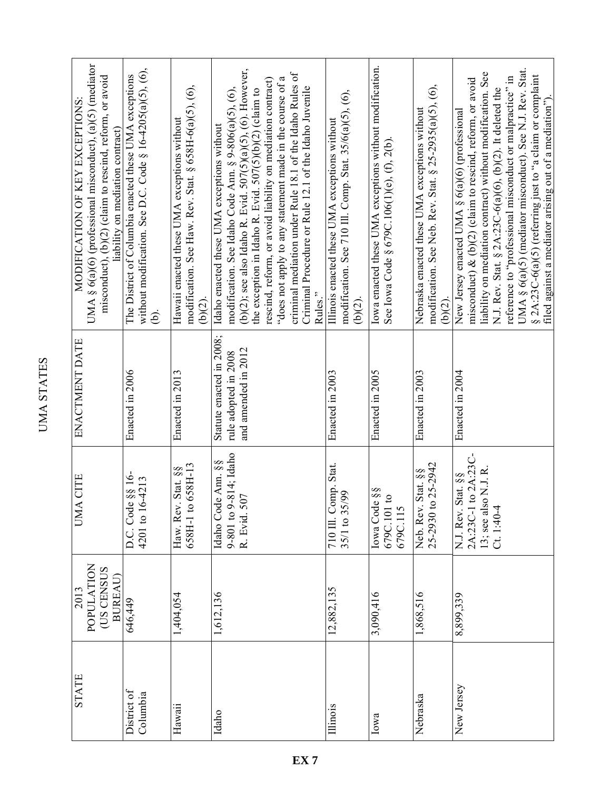| ŕ,<br>L<br>É<br>۰<br>Ļ |  |
|------------------------|--|
| Г.<br>۴                |  |
| k.                     |  |

| <b>STATE</b>            | POPULATION<br>(US CENSUS<br><b>BUREAU</b><br>2013 | <b>UMA CITE</b>                                                                    | ENACTMENT DATE                                                          | UMA § 6(a)(6) (professional misconduct), (a)(5) (mediator<br>misconduct), (b)(2) (claim to rescind, reform, or avoid<br>MODIFICATION OF KEY EXCEPTIONS:<br>liability on mediation contract)                                                                                                                                                                                                                                                                                                     |
|-------------------------|---------------------------------------------------|------------------------------------------------------------------------------------|-------------------------------------------------------------------------|-------------------------------------------------------------------------------------------------------------------------------------------------------------------------------------------------------------------------------------------------------------------------------------------------------------------------------------------------------------------------------------------------------------------------------------------------------------------------------------------------|
| District of<br>Columbia | 646,449                                           | D.C. Code §§ 16-<br>4201 to 16-4213                                                | Enacted in 2006                                                         | without modification. See D.C. Code $\S$ 16-4205(a)(5), (6),<br>The District of Columbia enacted these UMA exceptions<br>Ġ.                                                                                                                                                                                                                                                                                                                                                                     |
| Hawaii                  | 1,404,054                                         | 658H-1 to 658H-13<br>Haw. Rev. Stat. §§                                            | Enacted in 2013                                                         | modification. See Haw. Rev. Stat. § 658H-6(a)(5), (6),<br>Hawaii enacted these UMA exceptions without<br>(b)(2).                                                                                                                                                                                                                                                                                                                                                                                |
| Idaho                   | 1,612,136                                         | 9-801 to 9-814; Idaho<br>Idaho Code Ann. §§<br>R. Evid. 507                        | Statute enacted in 2008;<br>and amended in 2012<br>rule adopted in 2008 | (b)(2); see also Idaho R. Evid. $507(5)(a)(5)$ , (6). However,<br>criminal mediation under Rule 18.1 of the Idaho Rules of<br>"does not apply to any statement made in the course of a<br>rescind, reform, or avoid liability on mediation contract)<br>Criminal Procedure or Rule 12.1 of the Idaho Juvenile<br>modification. See Idaho Code Ann. $\S 9-806(a)(5)$ , (6),<br>the exception in Idaho R. Evid. $507(5)(b)(2)$ (claim to<br>Idaho enacted these UMA exceptions without<br>Rules." |
| Illinois                | 12,882,135                                        | 710 Ill. Comp. Stat.<br>35/1 to 35/99                                              | Enacted in 2003                                                         | modification. See 710 Ill. Comp. Stat. 35/6(a)(5), (6),<br>Illinois enacted these UMA exceptions without<br>$(b)(2)$ .                                                                                                                                                                                                                                                                                                                                                                          |
| Iowa                    | 3,090,416                                         | Iowa Code §§<br>$\mathbf{c}$<br>679C.101<br>679C.115                               | Enacted in 2005                                                         | Iowa enacted these UMA exceptions without modification.<br>See Iowa Code § 679C.106(1)(e), (f), 2(b).                                                                                                                                                                                                                                                                                                                                                                                           |
| Nebraska                | 1,868,516                                         | 25-2930 to 25-2942<br>Stat. §§<br>Neb. Rev.                                        | Enacted in 2003                                                         | modification. See Neb. Rev. Stat. § 25-2935(a)(5), (6),<br>Nebraska enacted these UMA exceptions without<br>$(b)(2)$ .                                                                                                                                                                                                                                                                                                                                                                          |
| New Jersey              | 8,899,339                                         | 2A:23C-1 to 2A:23C-<br>13; see also N.J. R.<br>Ct. 1:40-4<br>Stat. §§<br>N.J. Rev. | Enacted in 2004                                                         | UMA § 6(a)(5) (mediator misconduct). See N.J. Rev. Stat.<br>liability on mediation contract) without modification. See<br>§ 2A:23C-6(a)(5) (referring just to "a claim or complaint<br>reference to "professional misconduct or malpractice" in<br>misconduct) $\&$ (b)(2) (claim to rescind, reform, or avoid<br>N.J. Rev. Stat. § $2A:23C-6(a)(6)$ , (b)(2). It deleted the<br>filed against a mediator arising out of a mediation")<br>New Jersey enacted UMA § 6(a)(6) (professional        |